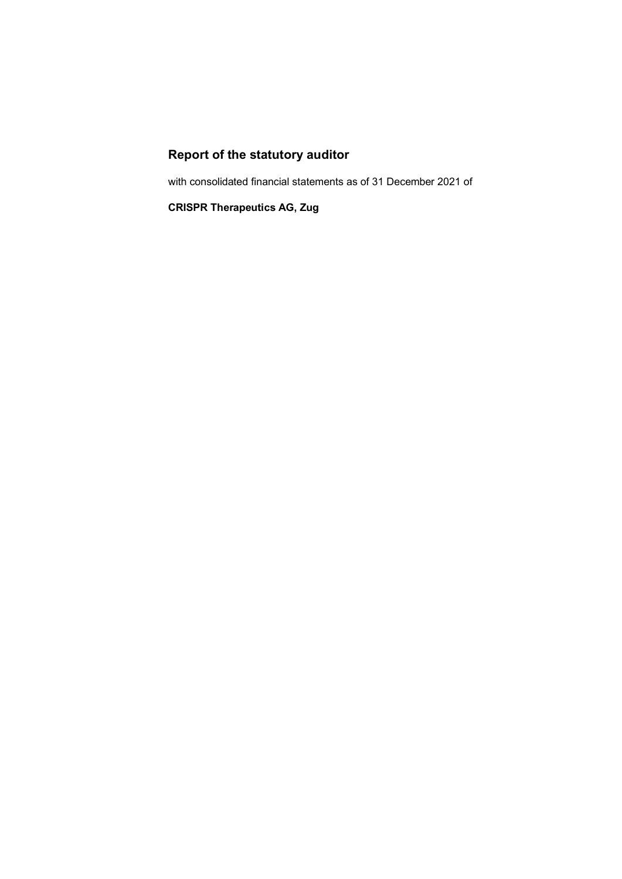# **Report of the statutory auditor**

with consolidated financial statements as of 31 December 2021 of

**CRISPR Therapeutics AG, Zug**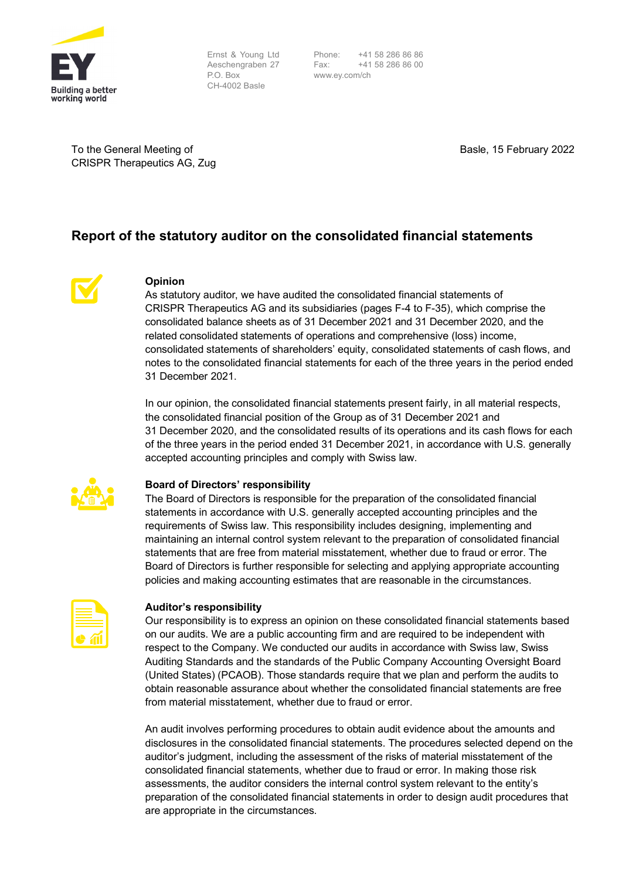

Ernst & Young Ltd Aeschengraben 27 P.O. Box CH-4002 Basle

Phone: +41 58 286 86 86 Fax: +41 58 286 86 00 www.ey.com/ch

To the General Meeting of CRISPR Therapeutics AG, Zug Basle, 15 February 2022

# **Report of the statutory auditor on the consolidated financial statements**



# **Opinion**

As statutory auditor, we have audited the consolidated financial statements of CRISPR Therapeutics AG and its subsidiaries (pages F-4 to F-35), which comprise the consolidated balance sheets as of 31 December 2021 and 31 December 2020, and the related consolidated statements of operations and comprehensive (loss) income, consolidated statements of shareholders' equity, consolidated statements of cash flows, and notes to the consolidated financial statements for each of the three years in the period ended 31 December 2021.

In our opinion, the consolidated financial statements present fairly, in all material respects, the consolidated financial position of the Group as of 31 December 2021 and 31 December 2020, and the consolidated results of its operations and its cash flows for each of the three years in the period ended 31 December 2021, in accordance with U.S. generally accepted accounting principles and comply with Swiss law.



## **Board of Directors' responsibility**

The Board of Directors is responsible for the preparation of the consolidated financial statements in accordance with U.S. generally accepted accounting principles and the requirements of Swiss law. This responsibility includes designing, implementing and maintaining an internal control system relevant to the preparation of consolidated financial statements that are free from material misstatement, whether due to fraud or error. The Board of Directors is further responsible for selecting and applying appropriate accounting policies and making accounting estimates that are reasonable in the circumstances.

# **Auditor's responsibility**

Our responsibility is to express an opinion on these consolidated financial statements based on our audits. We are a public accounting firm and are required to be independent with respect to the Company. We conducted our audits in accordance with Swiss law, Swiss Auditing Standards and the standards of the Public Company Accounting Oversight Board (United States) (PCAOB). Those standards require that we plan and perform the audits to obtain reasonable assurance about whether the consolidated financial statements are free from material misstatement, whether due to fraud or error.

An audit involves performing procedures to obtain audit evidence about the amounts and disclosures in the consolidated financial statements. The procedures selected depend on the auditor's judgment, including the assessment of the risks of material misstatement of the consolidated financial statements, whether due to fraud or error. In making those risk assessments, the auditor considers the internal control system relevant to the entity's preparation of the consolidated financial statements in order to design audit procedures that are appropriate in the circumstances.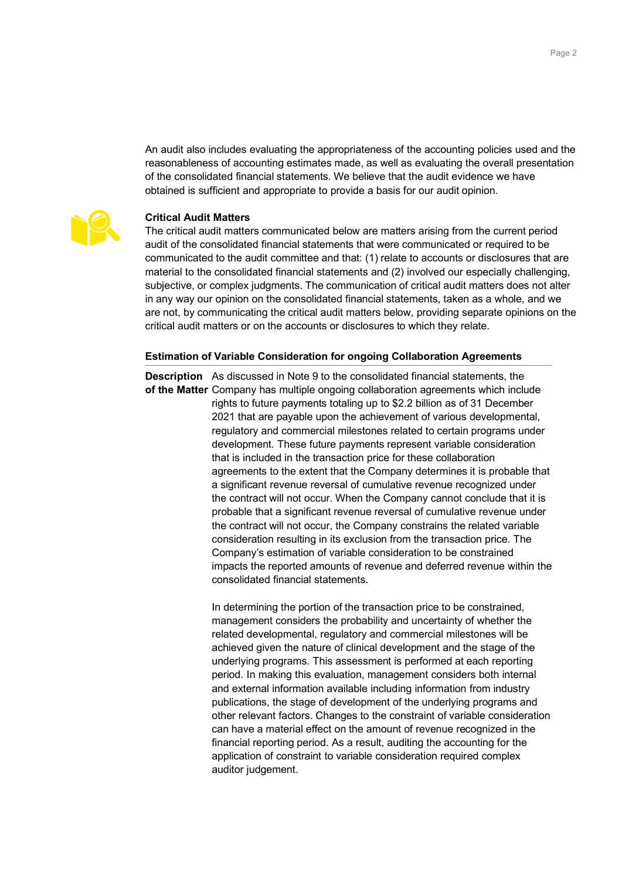reasonableness of accounting estimates made, as well as evaluating the overall presentation of the consolidated financial statements. We believe that the audit evidence we have obtained is sufficient and appropriate to provide a basis for our audit opinion.

An audit also includes evaluating the appropriateness of the accounting policies used and the



# **Critical Audit Matters**

The critical audit matters communicated below are matters arising from the current period audit of the consolidated financial statements that were communicated or required to be communicated to the audit committee and that: (1) relate to accounts or disclosures that are material to the consolidated financial statements and (2) involved our especially challenging, subjective, or complex judgments. The communication of critical audit matters does not alter in any way our opinion on the consolidated financial statements, taken as a whole, and we are not, by communicating the critical audit matters below, providing separate opinions on the critical audit matters or on the accounts or disclosures to which they relate.

# **Estimation of Variable Consideration for ongoing Collaboration Agreements**

**Description** As discussed in Note 9 to the consolidated financial statements, the **of the Matter** Company has multiple ongoing collaboration agreements which include rights to future payments totaling up to \$2.2 billion as of 31 December 2021 that are payable upon the achievement of various developmental, regulatory and commercial milestones related to certain programs under development. These future payments represent variable consideration that is included in the transaction price for these collaboration agreements to the extent that the Company determines it is probable that a significant revenue reversal of cumulative revenue recognized under the contract will not occur. When the Company cannot conclude that it is probable that a significant revenue reversal of cumulative revenue under the contract will not occur, the Company constrains the related variable consideration resulting in its exclusion from the transaction price. The Company's estimation of variable consideration to be constrained impacts the reported amounts of revenue and deferred revenue within the consolidated financial statements.

> In determining the portion of the transaction price to be constrained, management considers the probability and uncertainty of whether the related developmental, regulatory and commercial milestones will be achieved given the nature of clinical development and the stage of the underlying programs. This assessment is performed at each reporting period. In making this evaluation, management considers both internal and external information available including information from industry publications, the stage of development of the underlying programs and other relevant factors. Changes to the constraint of variable consideration can have a material effect on the amount of revenue recognized in the financial reporting period. As a result, auditing the accounting for the application of constraint to variable consideration required complex auditor judgement.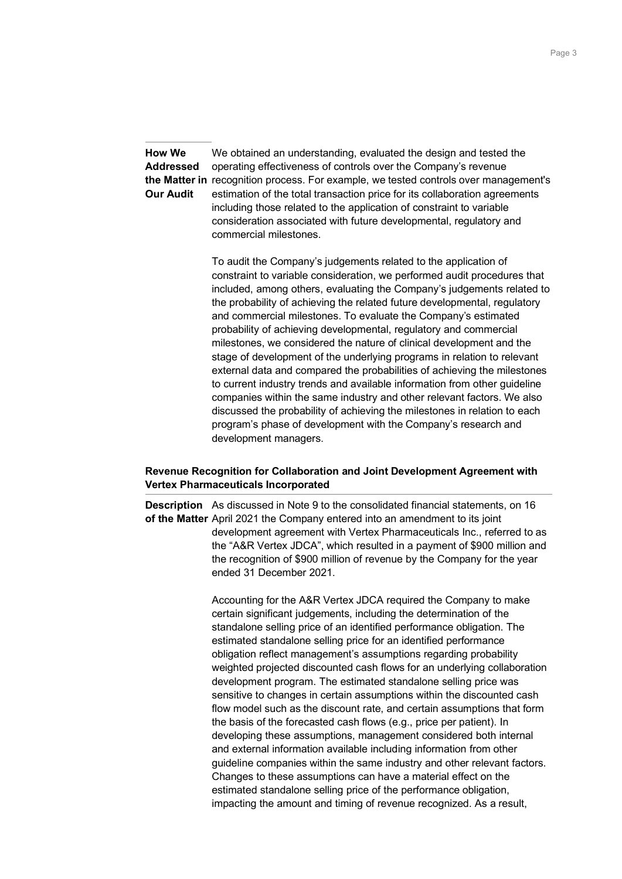**How We Addressed the Matter in** recognition process. For example, we tested controls over management's **Our Audit** We obtained an understanding, evaluated the design and tested the operating effectiveness of controls over the Company's revenue estimation of the total transaction price for its collaboration agreements including those related to the application of constraint to variable consideration associated with future developmental, regulatory and commercial milestones.

> To audit the Company's judgements related to the application of constraint to variable consideration, we performed audit procedures that included, among others, evaluating the Company's judgements related to the probability of achieving the related future developmental, regulatory and commercial milestones. To evaluate the Company's estimated probability of achieving developmental, regulatory and commercial milestones, we considered the nature of clinical development and the stage of development of the underlying programs in relation to relevant external data and compared the probabilities of achieving the milestones to current industry trends and available information from other guideline companies within the same industry and other relevant factors. We also discussed the probability of achieving the milestones in relation to each program's phase of development with the Company's research and development managers.

# **Revenue Recognition for Collaboration and Joint Development Agreement with Vertex Pharmaceuticals Incorporated**

**Description** As discussed in Note 9 to the consolidated financial statements, on 16 **of the Matter** April 2021 the Company entered into an amendment to its joint development agreement with Vertex Pharmaceuticals Inc., referred to as the "A&R Vertex JDCA", which resulted in a payment of \$900 million and the recognition of \$900 million of revenue by the Company for the year ended 31 December 2021.

> Accounting for the A&R Vertex JDCA required the Company to make certain significant judgements, including the determination of the standalone selling price of an identified performance obligation. The estimated standalone selling price for an identified performance obligation reflect management's assumptions regarding probability weighted projected discounted cash flows for an underlying collaboration development program. The estimated standalone selling price was sensitive to changes in certain assumptions within the discounted cash flow model such as the discount rate, and certain assumptions that form the basis of the forecasted cash flows (e.g., price per patient). In developing these assumptions, management considered both internal and external information available including information from other guideline companies within the same industry and other relevant factors. Changes to these assumptions can have a material effect on the estimated standalone selling price of the performance obligation, impacting the amount and timing of revenue recognized. As a result,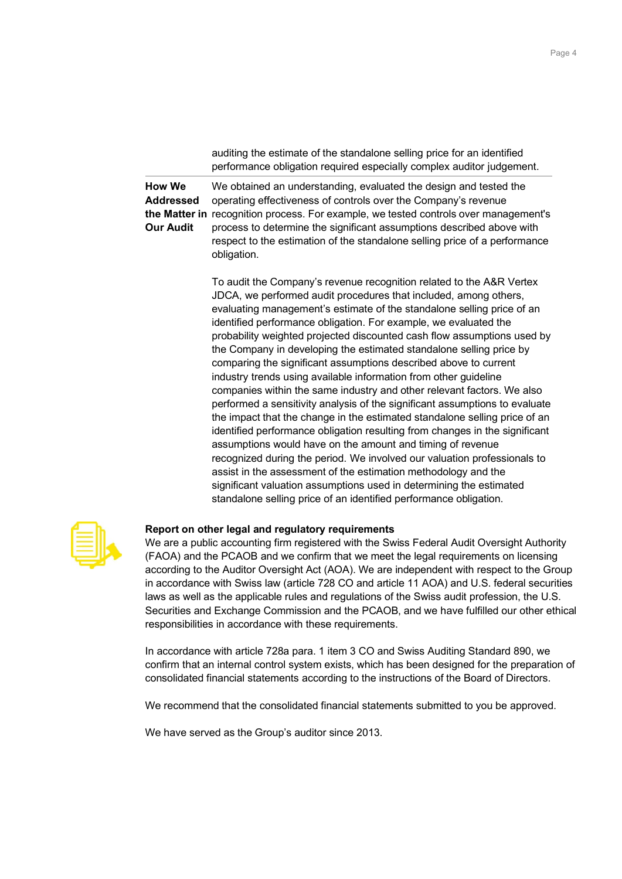|                                                | auditing the estimate of the standalone selling price for an identified<br>performance obligation required especially complex auditor judgement.                                                                                                                                                                                                                                                                                                                                                                                                                                                                                                                                                                                                                                                                                                                                                                                                                                                                                                                                                                                                                                                                                                               |
|------------------------------------------------|----------------------------------------------------------------------------------------------------------------------------------------------------------------------------------------------------------------------------------------------------------------------------------------------------------------------------------------------------------------------------------------------------------------------------------------------------------------------------------------------------------------------------------------------------------------------------------------------------------------------------------------------------------------------------------------------------------------------------------------------------------------------------------------------------------------------------------------------------------------------------------------------------------------------------------------------------------------------------------------------------------------------------------------------------------------------------------------------------------------------------------------------------------------------------------------------------------------------------------------------------------------|
| How We<br><b>Addressed</b><br><b>Our Audit</b> | We obtained an understanding, evaluated the design and tested the<br>operating effectiveness of controls over the Company's revenue<br>the Matter in recognition process. For example, we tested controls over management's<br>process to determine the significant assumptions described above with<br>respect to the estimation of the standalone selling price of a performance<br>obligation.                                                                                                                                                                                                                                                                                                                                                                                                                                                                                                                                                                                                                                                                                                                                                                                                                                                              |
|                                                | To audit the Company's revenue recognition related to the A&R Vertex<br>JDCA, we performed audit procedures that included, among others,<br>evaluating management's estimate of the standalone selling price of an<br>identified performance obligation. For example, we evaluated the<br>probability weighted projected discounted cash flow assumptions used by<br>the Company in developing the estimated standalone selling price by<br>comparing the significant assumptions described above to current<br>industry trends using available information from other guideline<br>companies within the same industry and other relevant factors. We also<br>performed a sensitivity analysis of the significant assumptions to evaluate<br>the impact that the change in the estimated standalone selling price of an<br>identified performance obligation resulting from changes in the significant<br>assumptions would have on the amount and timing of revenue<br>recognized during the period. We involved our valuation professionals to<br>assist in the assessment of the estimation methodology and the<br>significant valuation assumptions used in determining the estimated<br>standalone selling price of an identified performance obligation. |



# **Report on other legal and regulatory requirements**

We are a public accounting firm registered with the Swiss Federal Audit Oversight Authority (FAOA) and the PCAOB and we confirm that we meet the legal requirements on licensing according to the Auditor Oversight Act (AOA). We are independent with respect to the Group in accordance with Swiss law (article 728 CO and article 11 AOA) and U.S. federal securities laws as well as the applicable rules and regulations of the Swiss audit profession, the U.S. Securities and Exchange Commission and the PCAOB, and we have fulfilled our other ethical responsibilities in accordance with these requirements.

In accordance with article 728a para. 1 item 3 CO and Swiss Auditing Standard 890, we confirm that an internal control system exists, which has been designed for the preparation of consolidated financial statements according to the instructions of the Board of Directors.

We recommend that the consolidated financial statements submitted to you be approved.

We have served as the Group's auditor since 2013.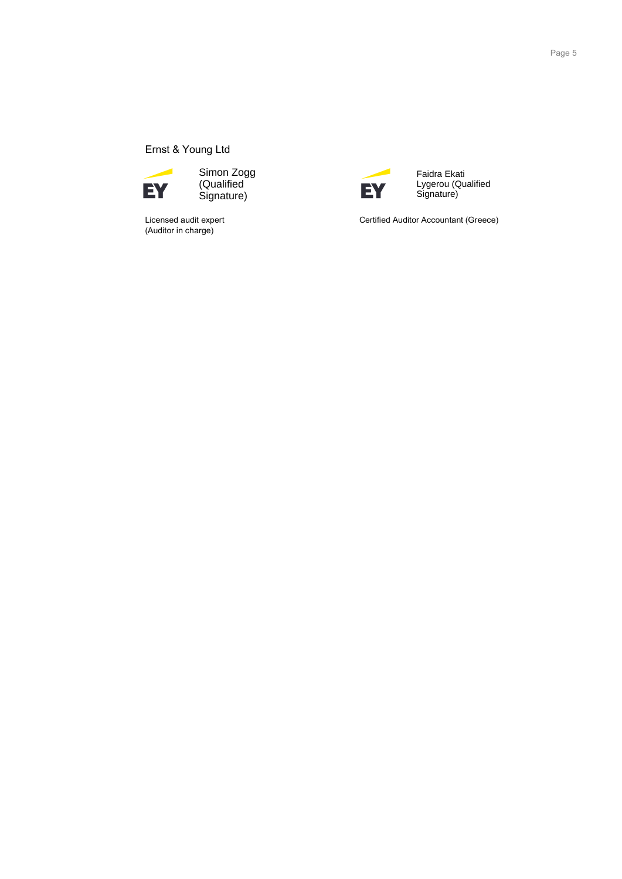# Ernst & Young Ltd



(Qualified Signature)

Licensed audit expert<br>(Auditor in charge)

⊣ EY

Faidra Ekati Lygerou (Qualified Signature)

Certified Auditor Accountant (Greece)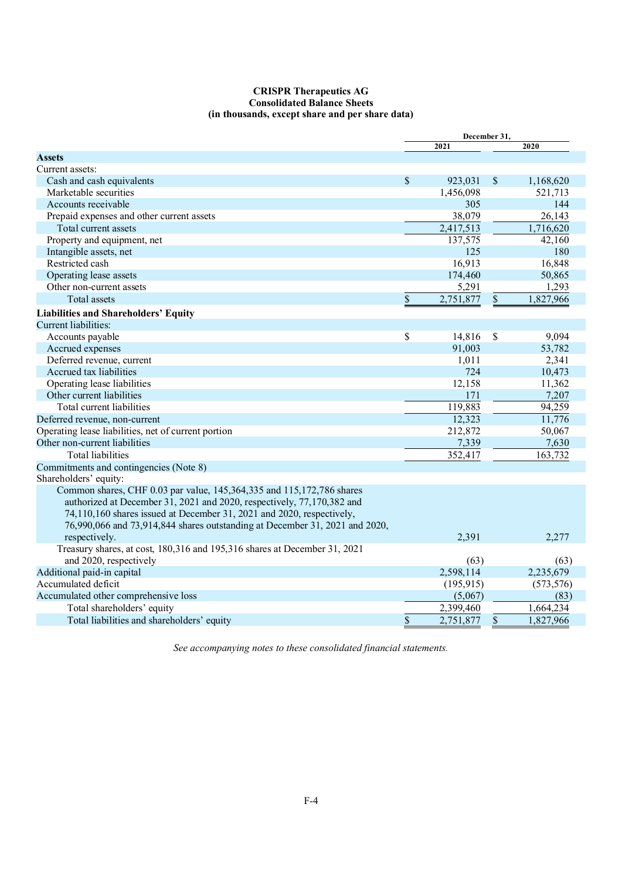## **CRISPR Therapeutics AG Consolidated Balance Sheets (in thousands, except share and per share data)**

|                                                                             |    | December 31, |               |            |
|-----------------------------------------------------------------------------|----|--------------|---------------|------------|
|                                                                             |    | 2021         |               | 2020       |
| <b>Assets</b>                                                               |    |              |               |            |
| Current assets:                                                             |    |              |               |            |
| Cash and cash equivalents                                                   | \$ | 923,031      | $\mathcal{S}$ | 1,168,620  |
| Marketable securities                                                       |    | 1,456,098    |               | 521,713    |
| Accounts receivable                                                         |    | 305          |               | 144        |
| Prepaid expenses and other current assets                                   |    | 38,079       |               | 26,143     |
| Total current assets                                                        |    | 2,417,513    |               | 1,716,620  |
| Property and equipment, net                                                 |    | 137,575      |               | 42,160     |
| Intangible assets, net                                                      |    | 125          |               | 180        |
| Restricted cash                                                             |    | 16,913       |               | 16,848     |
| Operating lease assets                                                      |    | 174,460      |               | 50,865     |
| Other non-current assets                                                    |    | 5,291        |               | 1,293      |
| Total assets                                                                | \$ | 2,751,877    | \$            | 1,827,966  |
| <b>Liabilities and Shareholders' Equity</b>                                 |    |              |               |            |
| Current liabilities:                                                        |    |              |               |            |
| Accounts payable                                                            | \$ | 14,816       | <sup>\$</sup> | 9,094      |
| Accrued expenses                                                            |    | 91,003       |               | 53,782     |
| Deferred revenue, current                                                   |    | 1,011        |               | 2,341      |
| Accrued tax liabilities                                                     |    | 724          |               | 10,473     |
| Operating lease liabilities                                                 |    | 12,158       |               | 11,362     |
| Other current liabilities                                                   |    | 171          |               | 7,207      |
| Total current liabilities                                                   |    | 119,883      |               | 94,259     |
| Deferred revenue, non-current                                               |    | 12,323       |               | 11,776     |
| Operating lease liabilities, net of current portion                         |    | 212,872      |               | 50,067     |
| Other non-current liabilities                                               |    | 7,339        |               | 7,630      |
| <b>Total liabilities</b>                                                    |    | 352,417      |               | 163,732    |
| Commitments and contingencies (Note 8)                                      |    |              |               |            |
| Shareholders' equity:                                                       |    |              |               |            |
| Common shares, CHF 0.03 par value, 145,364,335 and 115,172,786 shares       |    |              |               |            |
| authorized at December 31, 2021 and 2020, respectively, 77,170,382 and      |    |              |               |            |
| 74,110,160 shares issued at December 31, 2021 and 2020, respectively,       |    |              |               |            |
| 76,990,066 and 73,914,844 shares outstanding at December 31, 2021 and 2020, |    |              |               |            |
| respectively.                                                               |    | 2,391        |               | 2,277      |
| Treasury shares, at cost, 180,316 and 195,316 shares at December 31, 2021   |    |              |               |            |
| and 2020, respectively                                                      |    | (63)         |               | (63)       |
| Additional paid-in capital                                                  |    | 2,598,114    |               | 2,235,679  |
| Accumulated deficit                                                         |    | (195, 915)   |               | (573, 576) |
| Accumulated other comprehensive loss                                        |    | (5,067)      |               | (83)       |
| Total shareholders' equity                                                  |    | 2,399,460    |               | 1,664,234  |
| Total liabilities and shareholders' equity                                  | \$ | 2,751,877    | \$            | 1,827,966  |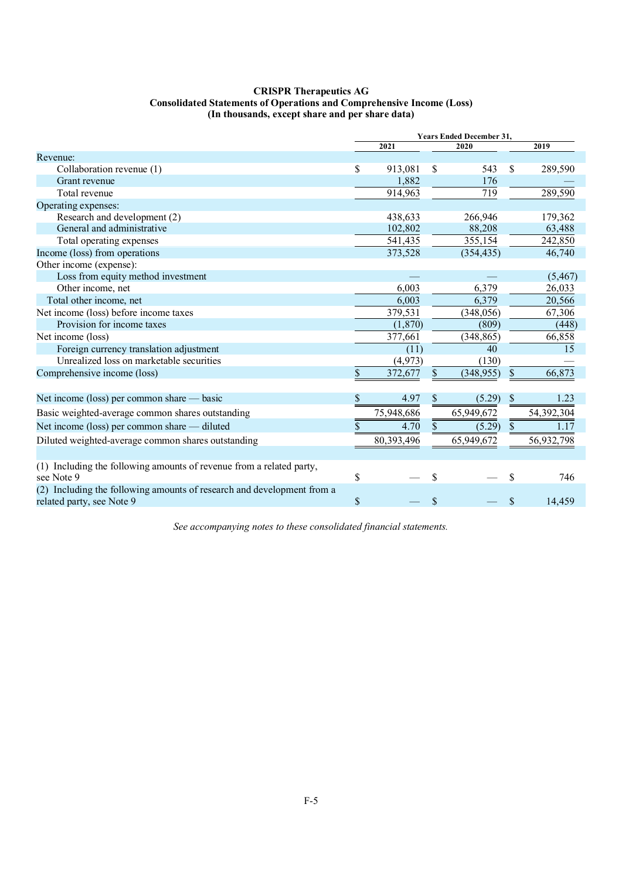## **CRISPR Therapeutics AG Consolidated Statements of Operations and Comprehensive Income (Loss) (In thousands, except share and per share data)**

|                                                                                                     | <b>Years Ended December 31,</b> |            |    |            |               |            |
|-----------------------------------------------------------------------------------------------------|---------------------------------|------------|----|------------|---------------|------------|
|                                                                                                     |                                 | 2021       |    | 2020       |               | 2019       |
| Revenue:                                                                                            |                                 |            |    |            |               |            |
| Collaboration revenue (1)                                                                           | \$                              | 913,081    | S  | 543        | \$.           | 289,590    |
| Grant revenue                                                                                       |                                 | 1,882      |    | 176        |               |            |
| Total revenue                                                                                       |                                 | 914,963    |    | 719        |               | 289,590    |
| Operating expenses:                                                                                 |                                 |            |    |            |               |            |
| Research and development (2)                                                                        |                                 | 438,633    |    | 266,946    |               | 179,362    |
| General and administrative                                                                          |                                 | 102.802    |    | 88,208     |               | 63,488     |
| Total operating expenses                                                                            |                                 | 541,435    |    | 355,154    |               | 242,850    |
| Income (loss) from operations                                                                       |                                 | 373,528    |    | (354, 435) |               | 46,740     |
| Other income (expense):                                                                             |                                 |            |    |            |               |            |
| Loss from equity method investment                                                                  |                                 |            |    |            |               | (5, 467)   |
| Other income, net                                                                                   |                                 | 6,003      |    | 6,379      |               | 26,033     |
| Total other income, net                                                                             |                                 | 6,003      |    | 6,379      |               | 20,566     |
| Net income (loss) before income taxes                                                               |                                 | 379,531    |    | (348, 056) |               | 67,306     |
| Provision for income taxes                                                                          |                                 | (1,870)    |    | (809)      |               | (448)      |
| Net income (loss)                                                                                   |                                 | 377,661    |    | (348, 865) |               | 66,858     |
| Foreign currency translation adjustment                                                             |                                 | (11)       |    | 40         |               | 15         |
| Unrealized loss on marketable securities                                                            |                                 | (4,973)    |    | (130)      |               |            |
| Comprehensive income (loss)                                                                         | \$                              | 372,677    | \$ | (348, 955) | \$            | 66,873     |
| Net income (loss) per common share — basic                                                          | \$                              | 4.97       | \$ | (5.29)     | $\$$          | 1.23       |
| Basic weighted-average common shares outstanding                                                    |                                 | 75,948,686 |    | 65,949,672 |               | 54,392,304 |
| Net income (loss) per common share — diluted                                                        | \$                              | 4.70       | \$ | (5.29)     | $\mathcal{S}$ | 1.17       |
| Diluted weighted-average common shares outstanding                                                  |                                 | 80,393,496 |    | 65,949,672 |               | 56,932,798 |
|                                                                                                     |                                 |            |    |            |               |            |
| (1) Including the following amounts of revenue from a related party,<br>see Note 9                  | \$                              |            | \$ |            | S             | 746        |
| (2) Including the following amounts of research and development from a<br>related party, see Note 9 | $\mathbb{S}$                    |            | \$ |            | $\mathcal{S}$ | 14.459     |
|                                                                                                     |                                 |            |    |            |               |            |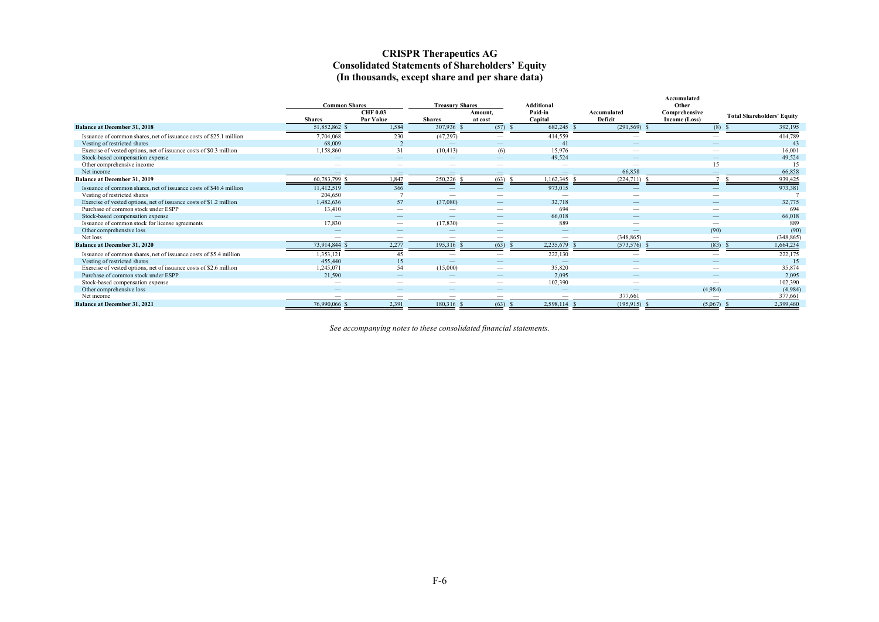## **CRISPR Therapeutics AG Consolidated Statements of Shareholders' Equity (In thousands, except share and per share data)**

|                                                                    | <b>Common Shares</b>     |                          | <b>Treasury Shares</b>   |                          | <b>Additional</b>        |                          | Accumulated<br>Other     |                                   |
|--------------------------------------------------------------------|--------------------------|--------------------------|--------------------------|--------------------------|--------------------------|--------------------------|--------------------------|-----------------------------------|
|                                                                    |                          | <b>CHF 0.03</b>          |                          | Amount,                  | Paid-in                  | Accumulated              | Comprehensive            |                                   |
|                                                                    | <b>Shares</b>            | Par Value                | <b>Shares</b>            | at cost                  | Capital                  | Deficit                  | Income (Loss)            | <b>Total Shareholders' Equity</b> |
| <b>Balance at December 31, 2018</b>                                | 51,852,862 \$            | 1,584                    | 307,936                  | (57)                     | 682,245                  | (291, 569)               | (8)                      | 392,195                           |
| Issuance of common shares, net of issuance costs of \$25.1 million | 7,704,068                | 230                      | (47, 297)                | $\overline{\phantom{a}}$ | 414,559                  | $\overline{\phantom{a}}$ | $\overline{\phantom{a}}$ | 414,789                           |
| Vesting of restricted shares                                       | 68,009                   | $\mathcal{L}$            |                          | $\sim$                   | 41                       |                          |                          | 43                                |
| Exercise of vested options, net of issuance costs of \$0.3 million | 1,158,860                | 31                       | (10, 413)                | (6)                      | 15,976                   | $\overline{\phantom{a}}$ |                          | 16,001                            |
| Stock-based compensation expense                                   |                          | $\sim$                   |                          | $\overline{\phantom{a}}$ | 49,524                   | $\sim$                   | $-$                      | 49,524                            |
| Other comprehensive income                                         |                          |                          | $\overline{\phantom{a}}$ | $\sim$                   | $\overline{\phantom{a}}$ | $\sim$                   | 15                       | 15                                |
| Net income                                                         | $\overline{\phantom{a}}$ | $\sim$                   | $\overline{\phantom{a}}$ | $\sim$                   | $\qquad \qquad -$        | 66,858                   | $\overline{\phantom{a}}$ | 66,858                            |
| Balance at December 31, 2019                                       | 60,783,799 \$            | 1,847                    | 250,226                  | (63)                     | 1,162,345                | (224,711)                |                          | 939,425                           |
| Issuance of common shares, net of issuance costs of \$46.4 million | 11,412,519               | 366                      |                          |                          | 973,015                  |                          |                          | 973,381                           |
| Vesting of restricted shares                                       | 204,650                  |                          | $\overline{\phantom{a}}$ |                          |                          | $\overline{\phantom{a}}$ |                          |                                   |
| Exercise of vested options, net of issuance costs of \$1.2 million | 1,482,636                | 57                       | (37,080)                 | $\overline{\phantom{m}}$ | 32,718                   |                          |                          | 32,775                            |
| Purchase of common stock under ESPP                                | 13,410                   | $\overline{\phantom{m}}$ | $\overline{\phantom{a}}$ | $\overline{\phantom{a}}$ | 694                      | $\sim$                   | $\overline{\phantom{a}}$ | 694                               |
| Stock-based compensation expense                                   |                          |                          |                          | $\overline{\phantom{a}}$ | 66,018                   |                          |                          | 66,018                            |
| Issuance of common stock for license agreements                    | 17,830                   | $\hspace{0.05cm}$        | (17, 830)                | $\overline{\phantom{a}}$ | 889                      |                          | $\overline{\phantom{a}}$ | 889                               |
| Other comprehensive loss                                           |                          |                          |                          |                          |                          |                          | (90)                     | (90)                              |
| Net loss                                                           | -                        | $\overline{\phantom{a}}$ | --                       | $\overline{\phantom{a}}$ |                          | (348, 865)               | $\overline{\phantom{a}}$ | (348, 865)                        |
| Balance at December 31, 2020                                       | 73,914,844 \$            | 2.277                    | 195,316                  | (63)                     | 2,235,679                | (573, 576)               | (83)                     | 1,664,234                         |
| Issuance of common shares, net of issuance costs of \$5.4 million  | 1,353,121                | 45                       | $\overline{\phantom{a}}$ | $\sim$                   | 222,130                  | $\sim$                   | $\overline{\phantom{a}}$ | 222,175                           |
| Vesting of restricted shares                                       | 455,440                  | 15                       |                          |                          |                          |                          |                          | 15                                |
| Exercise of vested options, net of issuance costs of \$2.6 million | 1,245,071                | 54                       | (15,000)                 |                          | 35,820                   |                          |                          | 35,874                            |
| Purchase of common stock under ESPP                                | 21,590                   |                          |                          |                          | 2.095                    |                          |                          | 2,095                             |
| Stock-based compensation expense                                   | -                        | $\overline{\phantom{a}}$ | $\overline{\phantom{a}}$ | $\overline{\phantom{a}}$ | 102,390                  | $\overline{\phantom{a}}$ | $\overline{\phantom{a}}$ | 102,390                           |
| Other comprehensive loss                                           | $\overline{\phantom{m}}$ |                          |                          |                          | $\qquad \qquad$          |                          | (4,984)                  | (4,984)                           |
| Net income                                                         |                          | $\overline{\phantom{a}}$ | $\overline{\phantom{a}}$ | $\overline{\phantom{a}}$ |                          | 377,661                  | $\overline{\phantom{a}}$ | 377,661                           |
| <b>Balance at December 31, 2021</b>                                | 76,990,066 \$            | 2,391                    | 180,316 \$               | (63)                     | 2,598,114                | (195, 915)               | (5,067)                  | 2,399,460                         |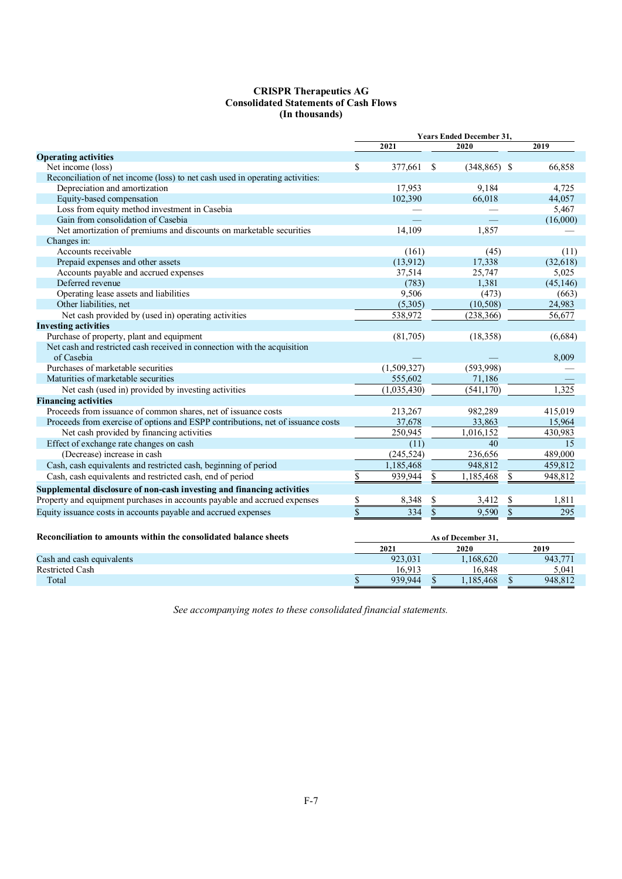## **CRISPR Therapeutics AG Consolidated Statements of Cash Flows (In thousands)**

|                                                                                 | <b>Years Ended December 31,</b> |             |                 |                        |    |           |  |
|---------------------------------------------------------------------------------|---------------------------------|-------------|-----------------|------------------------|----|-----------|--|
|                                                                                 |                                 | 2021        |                 | 2020                   |    | 2019      |  |
| <b>Operating activities</b>                                                     |                                 |             |                 |                        |    |           |  |
| Net income (loss)                                                               | \$                              | 377,661     | S               | $(348, 865)$ \$        |    | 66,858    |  |
| Reconciliation of net income (loss) to net cash used in operating activities:   |                                 |             |                 |                        |    |           |  |
| Depreciation and amortization                                                   |                                 | 17,953      |                 | 9,184                  |    | 4.725     |  |
| Equity-based compensation                                                       |                                 | 102,390     |                 | 66,018                 |    | 44,057    |  |
| Loss from equity method investment in Casebia                                   |                                 |             |                 |                        |    | 5,467     |  |
| Gain from consolidation of Casebia                                              |                                 |             |                 |                        |    | (16,000)  |  |
| Net amortization of premiums and discounts on marketable securities             |                                 | 14,109      |                 | 1.857                  |    |           |  |
| Changes in:                                                                     |                                 |             |                 |                        |    |           |  |
| Accounts receivable                                                             |                                 | (161)       |                 | (45)                   |    | (11)      |  |
| Prepaid expenses and other assets                                               |                                 | (13,912)    |                 | 17,338                 |    | (32, 618) |  |
| Accounts payable and accrued expenses                                           |                                 | 37,514      |                 | 25,747                 |    | 5,025     |  |
| Deferred revenue                                                                |                                 | (783)       |                 | 1,381                  |    | (45, 146) |  |
| Operating lease assets and liabilities                                          |                                 | 9,506       |                 | (473)                  |    | (663)     |  |
| Other liabilities, net                                                          |                                 | (5,305)     |                 | (10, 508)              |    | 24,983    |  |
| Net cash provided by (used in) operating activities                             |                                 | 538,972     |                 | (238, 366)             |    | 56,677    |  |
| <b>Investing activities</b>                                                     |                                 |             |                 |                        |    |           |  |
| Purchase of property, plant and equipment                                       |                                 | (81,705)    |                 | (18, 358)              |    | (6,684)   |  |
| Net cash and restricted cash received in connection with the acquisition        |                                 |             |                 |                        |    |           |  |
| of Casebia                                                                      |                                 |             |                 |                        |    | 8,009     |  |
| Purchases of marketable securities                                              |                                 | (1,509,327) |                 | (593,998)              |    |           |  |
| Maturities of marketable securities                                             |                                 | 555,602     |                 | 71,186                 |    |           |  |
| Net cash (used in) provided by investing activities                             |                                 | (1,035,430) |                 | (541, 170)             |    | 1,325     |  |
| <b>Financing activities</b>                                                     |                                 |             |                 |                        |    |           |  |
| Proceeds from issuance of common shares, net of issuance costs                  |                                 | 213,267     |                 | 982,289                |    | 415,019   |  |
| Proceeds from exercise of options and ESPP contributions, net of issuance costs |                                 | 37,678      |                 | 33,863                 |    | 15,964    |  |
| Net cash provided by financing activities                                       |                                 | 250,945     |                 | $1,016,1\overline{52}$ |    | 430,983   |  |
| Effect of exchange rate changes on cash                                         |                                 | (11)        |                 | 40                     |    | 15        |  |
| (Decrease) increase in cash                                                     |                                 | (245, 524)  |                 | 236,656                |    | 489,000   |  |
| Cash, cash equivalents and restricted cash, beginning of period                 |                                 | 1,185,468   |                 | 948,812                |    | 459,812   |  |
| Cash, cash equivalents and restricted cash, end of period                       | $\overline{\$}$                 | 939,944     | \$              | 1,185,468              | \$ | 948,812   |  |
| Supplemental disclosure of non-cash investing and financing activities          |                                 |             |                 |                        |    |           |  |
| Property and equipment purchases in accounts payable and accrued expenses       | \$                              | 8,348       | \$              | 3,412                  | \$ | 1,811     |  |
|                                                                                 |                                 |             |                 |                        |    |           |  |
| Equity issuance costs in accounts payable and accrued expenses                  | \$                              | 334         | <sup>\$</sup>   | 9,590                  | \$ | 295       |  |
| Reconciliation to amounts within the consolidated balance sheets                |                                 |             |                 | As of December 31.     |    |           |  |
|                                                                                 |                                 | 2021        |                 | 2020                   |    | 2019      |  |
| Cash and cash equivalents                                                       |                                 | 923,031     |                 | 1,168,620              |    | 943,771   |  |
| <b>Restricted Cash</b>                                                          |                                 | 16,913      |                 | 16,848                 |    | 5,041     |  |
| Total                                                                           | \$                              | 939,944     | $\overline{\$}$ | 1,185,468              | \$ | 948,812   |  |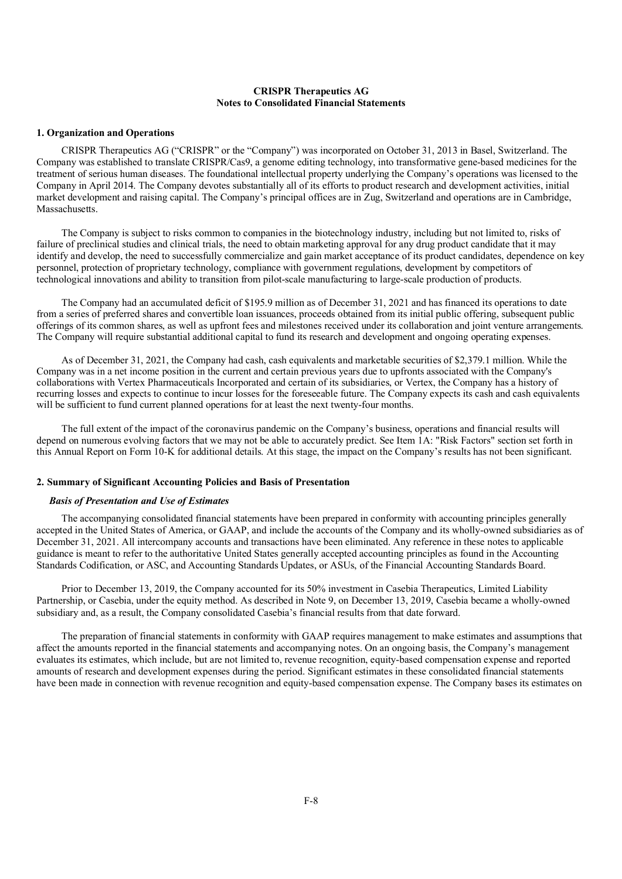## **CRISPR Therapeutics AG Notes to Consolidated Financial Statements**

## **1. Organization and Operations**

CRISPR Therapeutics AG ("CRISPR" or the "Company") was incorporated on October 31, 2013 in Basel, Switzerland. The Company was established to translate CRISPR/Cas9, a genome editing technology, into transformative gene-based medicines for the treatment of serious human diseases. The foundational intellectual property underlying the Company's operations was licensed to the Company in April 2014. The Company devotes substantially all of its efforts to product research and development activities, initial market development and raising capital. The Company's principal offices are in Zug, Switzerland and operations are in Cambridge, Massachusetts.

The Company is subject to risks common to companies in the biotechnology industry, including but not limited to, risks of failure of preclinical studies and clinical trials, the need to obtain marketing approval for any drug product candidate that it may identify and develop, the need to successfully commercialize and gain market acceptance of its product candidates, dependence on key personnel, protection of proprietary technology, compliance with government regulations, development by competitors of technological innovations and ability to transition from pilot-scale manufacturing to large-scale production of products.

The Company had an accumulated deficit of \$195.9 million as of December 31, 2021 and has financed its operations to date from a series of preferred shares and convertible loan issuances, proceeds obtained from its initial public offering, subsequent public offerings of its common shares, as well as upfront fees and milestones received under its collaboration and joint venture arrangements. The Company will require substantial additional capital to fund its research and development and ongoing operating expenses.

As of December 31, 2021, the Company had cash, cash equivalents and marketable securities of \$2,379.1 million. While the Company was in a net income position in the current and certain previous years due to upfronts associated with the Company's collaborations with Vertex Pharmaceuticals Incorporated and certain of its subsidiaries, or Vertex, the Company has a history of recurring losses and expects to continue to incur losses for the foreseeable future. The Company expects its cash and cash equivalents will be sufficient to fund current planned operations for at least the next twenty-four months.

The full extent of the impact of the coronavirus pandemic on the Company's business, operations and financial results will depend on numerous evolving factors that we may not be able to accurately predict. See Item 1A: "Risk Factors" section set forth in this Annual Report on Form 10-K for additional details. At this stage, the impact on the Company's results has not been significant.

#### **2. Summary of Significant Accounting Policies and Basis of Presentation**

## *Basis of Presentation and Use of Estimates*

The accompanying consolidated financial statements have been prepared in conformity with accounting principles generally accepted in the United States of America, or GAAP, and include the accounts of the Company and its wholly-owned subsidiaries as of December 31, 2021. All intercompany accounts and transactions have been eliminated. Any reference in these notes to applicable guidance is meant to refer to the authoritative United States generally accepted accounting principles as found in the Accounting Standards Codification, or ASC, and Accounting Standards Updates, or ASUs, of the Financial Accounting Standards Board.

Prior to December 13, 2019, the Company accounted for its 50% investment in Casebia Therapeutics, Limited Liability Partnership, or Casebia, under the equity method. As described in Note 9, on December 13, 2019, Casebia became a wholly-owned subsidiary and, as a result, the Company consolidated Casebia's financial results from that date forward.

The preparation of financial statements in conformity with GAAP requires management to make estimates and assumptions that affect the amounts reported in the financial statements and accompanying notes. On an ongoing basis, the Company's management evaluates its estimates, which include, but are not limited to, revenue recognition, equity-based compensation expense and reported amounts of research and development expenses during the period. Significant estimates in these consolidated financial statements have been made in connection with revenue recognition and equity-based compensation expense. The Company bases its estimates on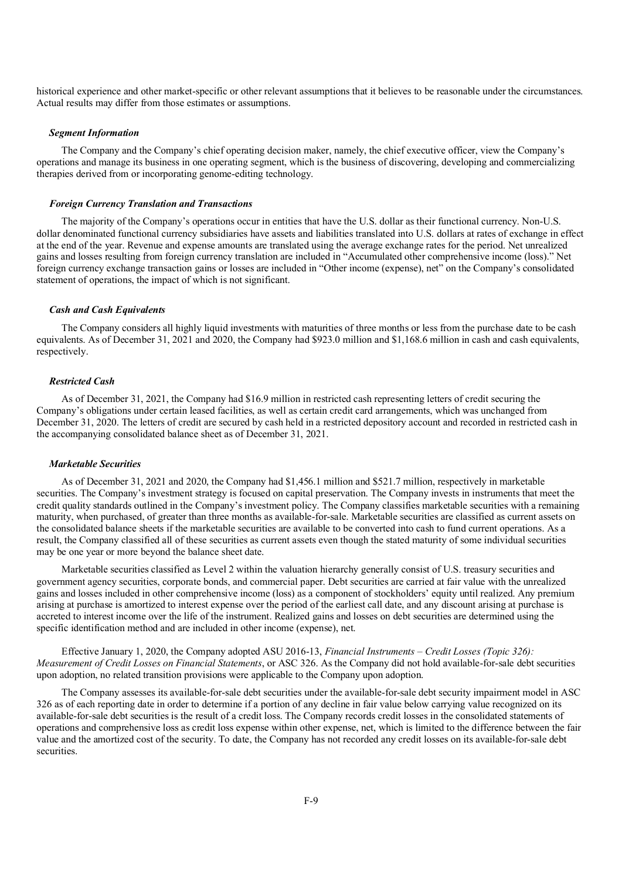historical experience and other market-specific or other relevant assumptions that it believes to be reasonable under the circumstances. Actual results may differ from those estimates or assumptions.

#### *Segment Information*

The Company and the Company's chief operating decision maker, namely, the chief executive officer, view the Company's operations and manage its business in one operating segment, which is the business of discovering, developing and commercializing therapies derived from or incorporating genome-editing technology.

#### *Foreign Currency Translation and Transactions*

The majority of the Company's operations occur in entities that have the U.S. dollar as their functional currency. Non-U.S. dollar denominated functional currency subsidiaries have assets and liabilities translated into U.S. dollars at rates of exchange in effect at the end of the year. Revenue and expense amounts are translated using the average exchange rates for the period. Net unrealized gains and losses resulting from foreign currency translation are included in "Accumulated other comprehensive income (loss)." Net foreign currency exchange transaction gains or losses are included in "Other income (expense), net" on the Company's consolidated statement of operations, the impact of which is not significant.

#### *Cash and Cash Equivalents*

The Company considers all highly liquid investments with maturities of three months or less from the purchase date to be cash equivalents. As of December 31, 2021 and 2020, the Company had \$923.0 million and \$1,168.6 million in cash and cash equivalents, respectively.

#### *Restricted Cash*

As of December 31, 2021, the Company had \$16.9 million in restricted cash representing letters of credit securing the Company's obligations under certain leased facilities, as well as certain credit card arrangements, which was unchanged from December 31, 2020. The letters of credit are secured by cash held in a restricted depository account and recorded in restricted cash in the accompanying consolidated balance sheet as of December 31, 2021.

## *Marketable Securities*

As of December 31, 2021 and 2020, the Company had \$1,456.1 million and \$521.7 million, respectively in marketable securities. The Company's investment strategy is focused on capital preservation. The Company invests in instruments that meet the credit quality standards outlined in the Company's investment policy. The Company classifies marketable securities with a remaining maturity, when purchased, of greater than three months as available-for-sale. Marketable securities are classified as current assets on the consolidated balance sheets if the marketable securities are available to be converted into cash to fund current operations. As a result, the Company classified all of these securities as current assets even though the stated maturity of some individual securities may be one year or more beyond the balance sheet date.

Marketable securities classified as Level 2 within the valuation hierarchy generally consist of U.S. treasury securities and government agency securities, corporate bonds, and commercial paper. Debt securities are carried at fair value with the unrealized gains and losses included in other comprehensive income (loss) as a component of stockholders' equity until realized. Any premium arising at purchase is amortized to interest expense over the period of the earliest call date, and any discount arising at purchase is accreted to interest income over the life of the instrument. Realized gains and losses on debt securities are determined using the specific identification method and are included in other income (expense), net.

Effective January 1, 2020, the Company adopted ASU 2016-13, *Financial Instruments – Credit Losses (Topic 326): Measurement of Credit Losses on Financial Statements*, or ASC 326. As the Company did not hold available-for-sale debt securities upon adoption, no related transition provisions were applicable to the Company upon adoption.

The Company assesses its available-for-sale debt securities under the available-for-sale debt security impairment model in ASC 326 as of each reporting date in order to determine if a portion of any decline in fair value below carrying value recognized on its available-for-sale debt securities is the result of a credit loss. The Company records credit losses in the consolidated statements of operations and comprehensive loss as credit loss expense within other expense, net, which is limited to the difference between the fair value and the amortized cost of the security. To date, the Company has not recorded any credit losses on its available-for-sale debt securities.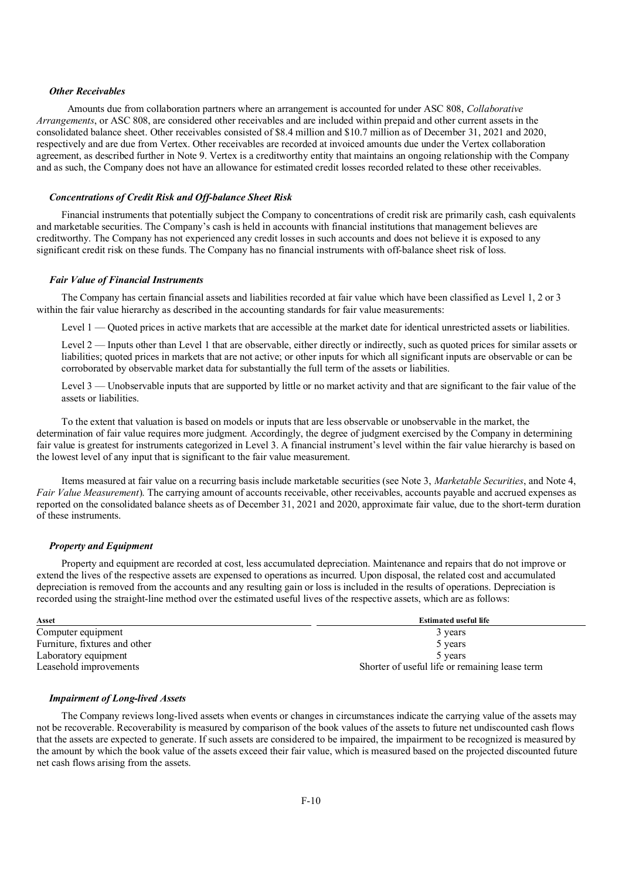## *Other Receivables*

 Amounts due from collaboration partners where an arrangement is accounted for under ASC 808, *Collaborative Arrangements*, or ASC 808, are considered other receivables and are included within prepaid and other current assets in the consolidated balance sheet. Other receivables consisted of \$8.4 million and \$10.7 million as of December 31, 2021 and 2020, respectively and are due from Vertex. Other receivables are recorded at invoiced amounts due under the Vertex collaboration agreement, as described further in Note 9. Vertex is a creditworthy entity that maintains an ongoing relationship with the Company and as such, the Company does not have an allowance for estimated credit losses recorded related to these other receivables.

#### *Concentrations of Credit Risk and Off-balance Sheet Risk*

Financial instruments that potentially subject the Company to concentrations of credit risk are primarily cash, cash equivalents and marketable securities. The Company's cash is held in accounts with financial institutions that management believes are creditworthy. The Company has not experienced any credit losses in such accounts and does not believe it is exposed to any significant credit risk on these funds. The Company has no financial instruments with off-balance sheet risk of loss.

#### *Fair Value of Financial Instruments*

The Company has certain financial assets and liabilities recorded at fair value which have been classified as Level 1, 2 or 3 within the fair value hierarchy as described in the accounting standards for fair value measurements:

Level 1 — Quoted prices in active markets that are accessible at the market date for identical unrestricted assets or liabilities.

Level 2 — Inputs other than Level 1 that are observable, either directly or indirectly, such as quoted prices for similar assets or liabilities; quoted prices in markets that are not active; or other inputs for which all significant inputs are observable or can be corroborated by observable market data for substantially the full term of the assets or liabilities.

Level 3 — Unobservable inputs that are supported by little or no market activity and that are significant to the fair value of the assets or liabilities.

To the extent that valuation is based on models or inputs that are less observable or unobservable in the market, the determination of fair value requires more judgment. Accordingly, the degree of judgment exercised by the Company in determining fair value is greatest for instruments categorized in Level 3. A financial instrument's level within the fair value hierarchy is based on the lowest level of any input that is significant to the fair value measurement.

Items measured at fair value on a recurring basis include marketable securities (see Note 3, *Marketable Securities*, and Note 4, *Fair Value Measurement*). The carrying amount of accounts receivable, other receivables, accounts payable and accrued expenses as reported on the consolidated balance sheets as of December 31, 2021 and 2020, approximate fair value, due to the short-term duration of these instruments.

## *Property and Equipment*

Property and equipment are recorded at cost, less accumulated depreciation. Maintenance and repairs that do not improve or extend the lives of the respective assets are expensed to operations as incurred. Upon disposal, the related cost and accumulated depreciation is removed from the accounts and any resulting gain or loss is included in the results of operations. Depreciation is recorded using the straight-line method over the estimated useful lives of the respective assets, which are as follows:

| Asset                         | <b>Estimated useful life</b>                   |
|-------------------------------|------------------------------------------------|
| Computer equipment            | 3 years                                        |
| Furniture, fixtures and other | 5 years                                        |
| Laboratory equipment          | 5 years                                        |
| Leasehold improvements        | Shorter of useful life or remaining lease term |

## *Impairment of Long-lived Assets*

The Company reviews long-lived assets when events or changes in circumstances indicate the carrying value of the assets may not be recoverable. Recoverability is measured by comparison of the book values of the assets to future net undiscounted cash flows that the assets are expected to generate. If such assets are considered to be impaired, the impairment to be recognized is measured by the amount by which the book value of the assets exceed their fair value, which is measured based on the projected discounted future net cash flows arising from the assets.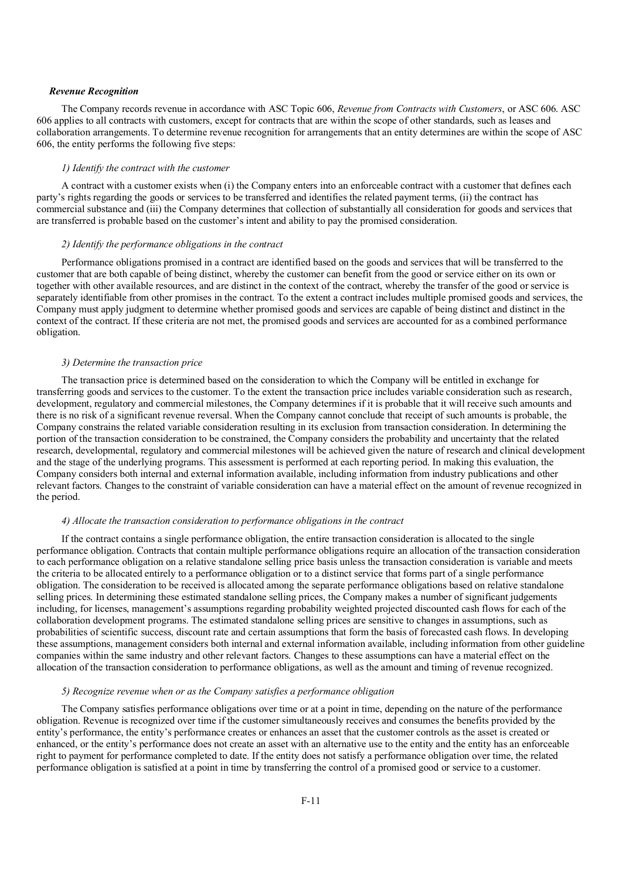## *Revenue Recognition*

The Company records revenue in accordance with ASC Topic 606, *Revenue from Contracts with Customers*, or ASC 606. ASC 606 applies to all contracts with customers, except for contracts that are within the scope of other standards, such as leases and collaboration arrangements. To determine revenue recognition for arrangements that an entity determines are within the scope of ASC 606, the entity performs the following five steps:

## *1) Identify the contract with the customer*

A contract with a customer exists when (i) the Company enters into an enforceable contract with a customer that defines each party's rights regarding the goods or services to be transferred and identifies the related payment terms, (ii) the contract has commercial substance and (iii) the Company determines that collection of substantially all consideration for goods and services that are transferred is probable based on the customer's intent and ability to pay the promised consideration.

## *2) Identify the performance obligations in the contract*

Performance obligations promised in a contract are identified based on the goods and services that will be transferred to the customer that are both capable of being distinct, whereby the customer can benefit from the good or service either on its own or together with other available resources, and are distinct in the context of the contract, whereby the transfer of the good or service is separately identifiable from other promises in the contract. To the extent a contract includes multiple promised goods and services, the Company must apply judgment to determine whether promised goods and services are capable of being distinct and distinct in the context of the contract. If these criteria are not met, the promised goods and services are accounted for as a combined performance obligation.

#### *3) Determine the transaction price*

The transaction price is determined based on the consideration to which the Company will be entitled in exchange for transferring goods and services to the customer. To the extent the transaction price includes variable consideration such as research, development, regulatory and commercial milestones, the Company determines if it is probable that it will receive such amounts and there is no risk of a significant revenue reversal. When the Company cannot conclude that receipt of such amounts is probable, the Company constrains the related variable consideration resulting in its exclusion from transaction consideration. In determining the portion of the transaction consideration to be constrained, the Company considers the probability and uncertainty that the related research, developmental, regulatory and commercial milestones will be achieved given the nature of research and clinical development and the stage of the underlying programs. This assessment is performed at each reporting period. In making this evaluation, the Company considers both internal and external information available, including information from industry publications and other relevant factors. Changes to the constraint of variable consideration can have a material effect on the amount of revenue recognized in the period.

#### *4) Allocate the transaction consideration to performance obligations in the contract*

If the contract contains a single performance obligation, the entire transaction consideration is allocated to the single performance obligation. Contracts that contain multiple performance obligations require an allocation of the transaction consideration to each performance obligation on a relative standalone selling price basis unless the transaction consideration is variable and meets the criteria to be allocated entirely to a performance obligation or to a distinct service that forms part of a single performance obligation. The consideration to be received is allocated among the separate performance obligations based on relative standalone selling prices. In determining these estimated standalone selling prices, the Company makes a number of significant judgements including, for licenses, management's assumptions regarding probability weighted projected discounted cash flows for each of the collaboration development programs. The estimated standalone selling prices are sensitive to changes in assumptions, such as probabilities of scientific success, discount rate and certain assumptions that form the basis of forecasted cash flows. In developing these assumptions, management considers both internal and external information available, including information from other guideline companies within the same industry and other relevant factors. Changes to these assumptions can have a material effect on the allocation of the transaction consideration to performance obligations, as well as the amount and timing of revenue recognized.

#### *5) Recognize revenue when or as the Company satisfies a performance obligation*

The Company satisfies performance obligations over time or at a point in time, depending on the nature of the performance obligation. Revenue is recognized over time if the customer simultaneously receives and consumes the benefits provided by the entity's performance, the entity's performance creates or enhances an asset that the customer controls as the asset is created or enhanced, or the entity's performance does not create an asset with an alternative use to the entity and the entity has an enforceable right to payment for performance completed to date. If the entity does not satisfy a performance obligation over time, the related performance obligation is satisfied at a point in time by transferring the control of a promised good or service to a customer.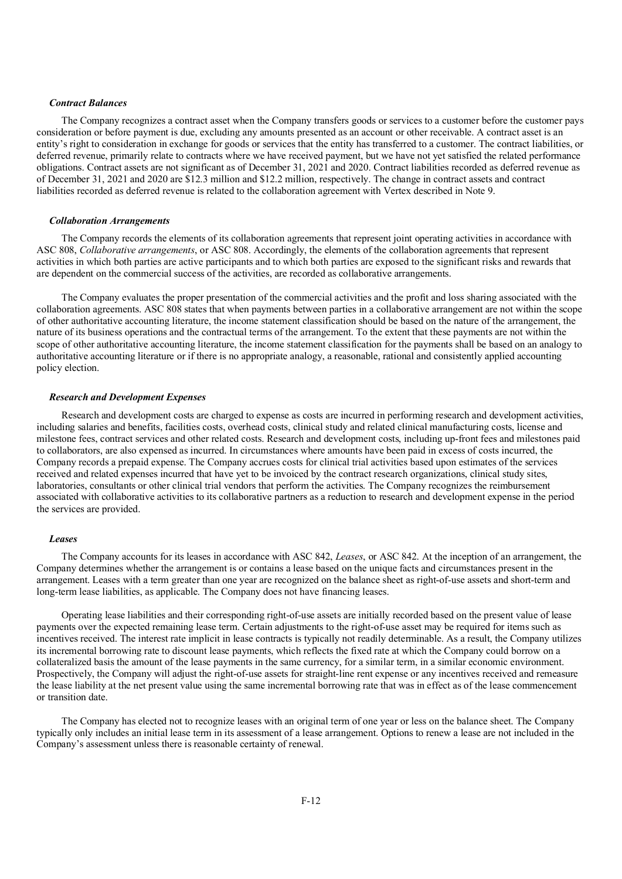## *Contract Balances*

The Company recognizes a contract asset when the Company transfers goods or services to a customer before the customer pays consideration or before payment is due, excluding any amounts presented as an account or other receivable. A contract asset is an entity's right to consideration in exchange for goods or services that the entity has transferred to a customer. The contract liabilities, or deferred revenue, primarily relate to contracts where we have received payment, but we have not yet satisfied the related performance obligations. Contract assets are not significant as of December 31, 2021 and 2020. Contract liabilities recorded as deferred revenue as of December 31, 2021 and 2020 are \$12.3 million and \$12.2 million, respectively. The change in contract assets and contract liabilities recorded as deferred revenue is related to the collaboration agreement with Vertex described in Note 9.

## *Collaboration Arrangements*

The Company records the elements of its collaboration agreements that represent joint operating activities in accordance with ASC 808, *Collaborative arrangements*, or ASC 808. Accordingly, the elements of the collaboration agreements that represent activities in which both parties are active participants and to which both parties are exposed to the significant risks and rewards that are dependent on the commercial success of the activities, are recorded as collaborative arrangements.

The Company evaluates the proper presentation of the commercial activities and the profit and loss sharing associated with the collaboration agreements. ASC 808 states that when payments between parties in a collaborative arrangement are not within the scope of other authoritative accounting literature, the income statement classification should be based on the nature of the arrangement, the nature of its business operations and the contractual terms of the arrangement. To the extent that these payments are not within the scope of other authoritative accounting literature, the income statement classification for the payments shall be based on an analogy to authoritative accounting literature or if there is no appropriate analogy, a reasonable, rational and consistently applied accounting policy election.

#### *Research and Development Expenses*

Research and development costs are charged to expense as costs are incurred in performing research and development activities, including salaries and benefits, facilities costs, overhead costs, clinical study and related clinical manufacturing costs, license and milestone fees, contract services and other related costs. Research and development costs, including up-front fees and milestones paid to collaborators, are also expensed as incurred. In circumstances where amounts have been paid in excess of costs incurred, the Company records a prepaid expense. The Company accrues costs for clinical trial activities based upon estimates of the services received and related expenses incurred that have yet to be invoiced by the contract research organizations, clinical study sites, laboratories, consultants or other clinical trial vendors that perform the activities. The Company recognizes the reimbursement associated with collaborative activities to its collaborative partners as a reduction to research and development expense in the period the services are provided.

#### *Leases*

The Company accounts for its leases in accordance with ASC 842, *Leases*, or ASC 842. At the inception of an arrangement, the Company determines whether the arrangement is or contains a lease based on the unique facts and circumstances present in the arrangement. Leases with a term greater than one year are recognized on the balance sheet as right-of-use assets and short-term and long-term lease liabilities, as applicable. The Company does not have financing leases.

Operating lease liabilities and their corresponding right-of-use assets are initially recorded based on the present value of lease payments over the expected remaining lease term. Certain adjustments to the right-of-use asset may be required for items such as incentives received. The interest rate implicit in lease contracts is typically not readily determinable. As a result, the Company utilizes its incremental borrowing rate to discount lease payments, which reflects the fixed rate at which the Company could borrow on a collateralized basis the amount of the lease payments in the same currency, for a similar term, in a similar economic environment. Prospectively, the Company will adjust the right-of-use assets for straight-line rent expense or any incentives received and remeasure the lease liability at the net present value using the same incremental borrowing rate that was in effect as of the lease commencement or transition date.

The Company has elected not to recognize leases with an original term of one year or less on the balance sheet. The Company typically only includes an initial lease term in its assessment of a lease arrangement. Options to renew a lease are not included in the Company's assessment unless there is reasonable certainty of renewal.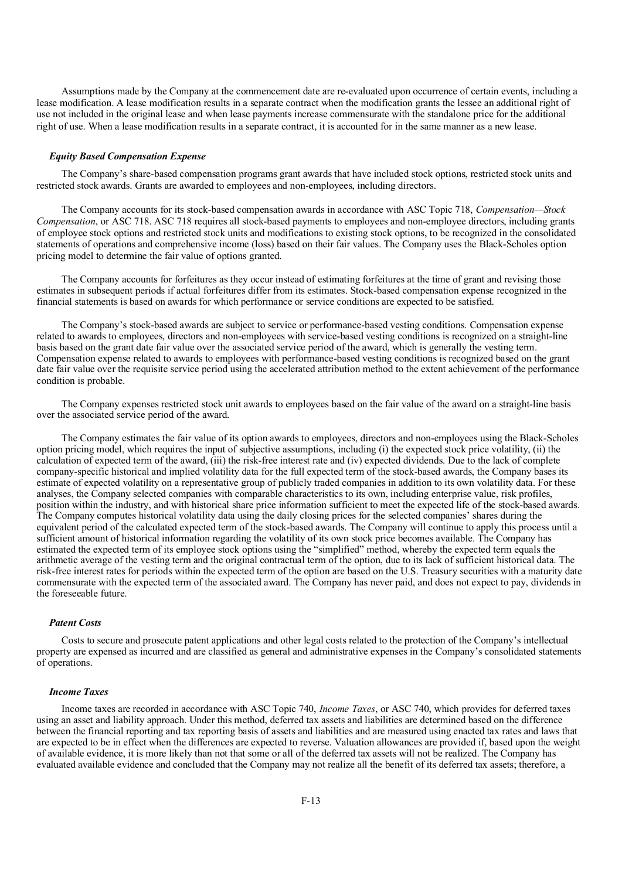Assumptions made by the Company at the commencement date are re-evaluated upon occurrence of certain events, including a lease modification. A lease modification results in a separate contract when the modification grants the lessee an additional right of use not included in the original lease and when lease payments increase commensurate with the standalone price for the additional right of use. When a lease modification results in a separate contract, it is accounted for in the same manner as a new lease.

## *Equity Based Compensation Expense*

The Company's share-based compensation programs grant awards that have included stock options, restricted stock units and restricted stock awards. Grants are awarded to employees and non-employees, including directors.

The Company accounts for its stock-based compensation awards in accordance with ASC Topic 718, *Compensation—Stock Compensation*, or ASC 718. ASC 718 requires all stock-based payments to employees and non-employee directors, including grants of employee stock options and restricted stock units and modifications to existing stock options, to be recognized in the consolidated statements of operations and comprehensive income (loss) based on their fair values. The Company uses the Black-Scholes option pricing model to determine the fair value of options granted.

The Company accounts for forfeitures as they occur instead of estimating forfeitures at the time of grant and revising those estimates in subsequent periods if actual forfeitures differ from its estimates. Stock-based compensation expense recognized in the financial statements is based on awards for which performance or service conditions are expected to be satisfied.

The Company's stock-based awards are subject to service or performance-based vesting conditions. Compensation expense related to awards to employees, directors and non-employees with service-based vesting conditions is recognized on a straight-line basis based on the grant date fair value over the associated service period of the award, which is generally the vesting term. Compensation expense related to awards to employees with performance-based vesting conditions is recognized based on the grant date fair value over the requisite service period using the accelerated attribution method to the extent achievement of the performance condition is probable.

The Company expenses restricted stock unit awards to employees based on the fair value of the award on a straight-line basis over the associated service period of the award.

The Company estimates the fair value of its option awards to employees, directors and non-employees using the Black-Scholes option pricing model, which requires the input of subjective assumptions, including (i) the expected stock price volatility, (ii) the calculation of expected term of the award, (iii) the risk-free interest rate and (iv) expected dividends. Due to the lack of complete company-specific historical and implied volatility data for the full expected term of the stock-based awards, the Company bases its estimate of expected volatility on a representative group of publicly traded companies in addition to its own volatility data. For these analyses, the Company selected companies with comparable characteristics to its own, including enterprise value, risk profiles, position within the industry, and with historical share price information sufficient to meet the expected life of the stock-based awards. The Company computes historical volatility data using the daily closing prices for the selected companies' shares during the equivalent period of the calculated expected term of the stock-based awards. The Company will continue to apply this process until a sufficient amount of historical information regarding the volatility of its own stock price becomes available. The Company has estimated the expected term of its employee stock options using the "simplified" method, whereby the expected term equals the arithmetic average of the vesting term and the original contractual term of the option, due to its lack of sufficient historical data. The risk-free interest rates for periods within the expected term of the option are based on the U.S. Treasury securities with a maturity date commensurate with the expected term of the associated award. The Company has never paid, and does not expect to pay, dividends in the foreseeable future.

#### *Patent Costs*

Costs to secure and prosecute patent applications and other legal costs related to the protection of the Company's intellectual property are expensed as incurred and are classified as general and administrative expenses in the Company's consolidated statements of operations.

## *Income Taxes*

Income taxes are recorded in accordance with ASC Topic 740, *Income Taxes*, or ASC 740, which provides for deferred taxes using an asset and liability approach. Under this method, deferred tax assets and liabilities are determined based on the difference between the financial reporting and tax reporting basis of assets and liabilities and are measured using enacted tax rates and laws that are expected to be in effect when the differences are expected to reverse. Valuation allowances are provided if, based upon the weight of available evidence, it is more likely than not that some or all of the deferred tax assets will not be realized. The Company has evaluated available evidence and concluded that the Company may not realize all the benefit of its deferred tax assets; therefore, a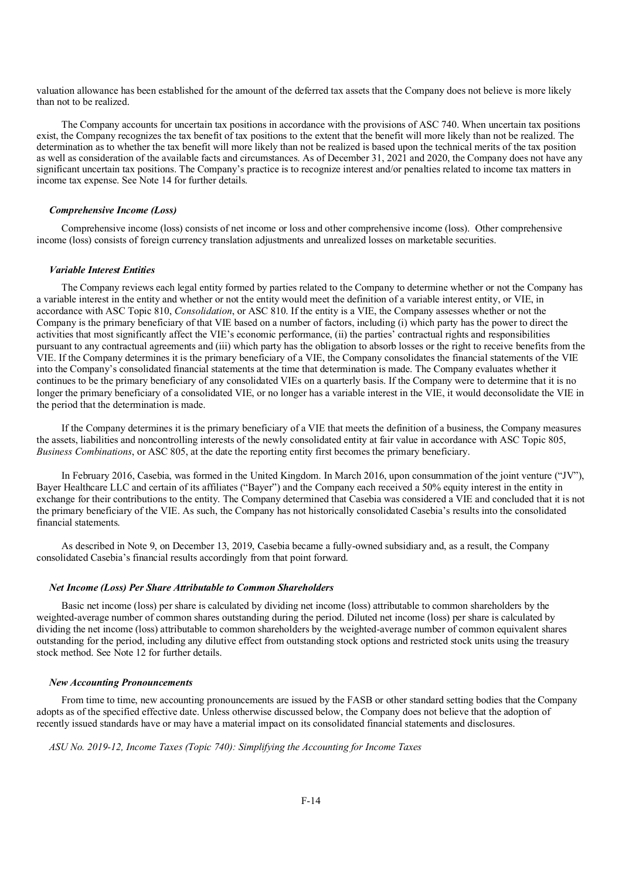valuation allowance has been established for the amount of the deferred tax assets that the Company does not believe is more likely than not to be realized.

The Company accounts for uncertain tax positions in accordance with the provisions of ASC 740. When uncertain tax positions exist, the Company recognizes the tax benefit of tax positions to the extent that the benefit will more likely than not be realized. The determination as to whether the tax benefit will more likely than not be realized is based upon the technical merits of the tax position as well as consideration of the available facts and circumstances. As of December 31, 2021 and 2020, the Company does not have any significant uncertain tax positions. The Company's practice is to recognize interest and/or penalties related to income tax matters in income tax expense. See Note 14 for further details.

## *Comprehensive Income (Loss)*

Comprehensive income (loss) consists of net income or loss and other comprehensive income (loss). Other comprehensive income (loss) consists of foreign currency translation adjustments and unrealized losses on marketable securities.

## *Variable Interest Entities*

The Company reviews each legal entity formed by parties related to the Company to determine whether or not the Company has a variable interest in the entity and whether or not the entity would meet the definition of a variable interest entity, or VIE, in accordance with ASC Topic 810, *Consolidation*, or ASC 810. If the entity is a VIE, the Company assesses whether or not the Company is the primary beneficiary of that VIE based on a number of factors, including (i) which party has the power to direct the activities that most significantly affect the VIE's economic performance, (ii) the parties' contractual rights and responsibilities pursuant to any contractual agreements and (iii) which party has the obligation to absorb losses or the right to receive benefits from the VIE. If the Company determines it is the primary beneficiary of a VIE, the Company consolidates the financial statements of the VIE into the Company's consolidated financial statements at the time that determination is made. The Company evaluates whether it continues to be the primary beneficiary of any consolidated VIEs on a quarterly basis. If the Company were to determine that it is no longer the primary beneficiary of a consolidated VIE, or no longer has a variable interest in the VIE, it would deconsolidate the VIE in the period that the determination is made.

If the Company determines it is the primary beneficiary of a VIE that meets the definition of a business, the Company measures the assets, liabilities and noncontrolling interests of the newly consolidated entity at fair value in accordance with ASC Topic 805, *Business Combinations*, or ASC 805, at the date the reporting entity first becomes the primary beneficiary.

In February 2016, Casebia, was formed in the United Kingdom. In March 2016, upon consummation of the joint venture ("JV"), Bayer Healthcare LLC and certain of its affiliates ("Bayer") and the Company each received a 50% equity interest in the entity in exchange for their contributions to the entity. The Company determined that Casebia was considered a VIE and concluded that it is not the primary beneficiary of the VIE. As such, the Company has not historically consolidated Casebia's results into the consolidated financial statements.

As described in Note 9, on December 13, 2019, Casebia became a fully-owned subsidiary and, as a result, the Company consolidated Casebia's financial results accordingly from that point forward.

#### *Net Income (Loss) Per Share Attributable to Common Shareholders*

Basic net income (loss) per share is calculated by dividing net income (loss) attributable to common shareholders by the weighted-average number of common shares outstanding during the period. Diluted net income (loss) per share is calculated by dividing the net income (loss) attributable to common shareholders by the weighted-average number of common equivalent shares outstanding for the period, including any dilutive effect from outstanding stock options and restricted stock units using the treasury stock method. See Note 12 for further details.

#### *New Accounting Pronouncements*

From time to time, new accounting pronouncements are issued by the FASB or other standard setting bodies that the Company adopts as of the specified effective date. Unless otherwise discussed below, the Company does not believe that the adoption of recently issued standards have or may have a material impact on its consolidated financial statements and disclosures.

*ASU No. 2019-12, Income Taxes (Topic 740): Simplifying the Accounting for Income Taxes*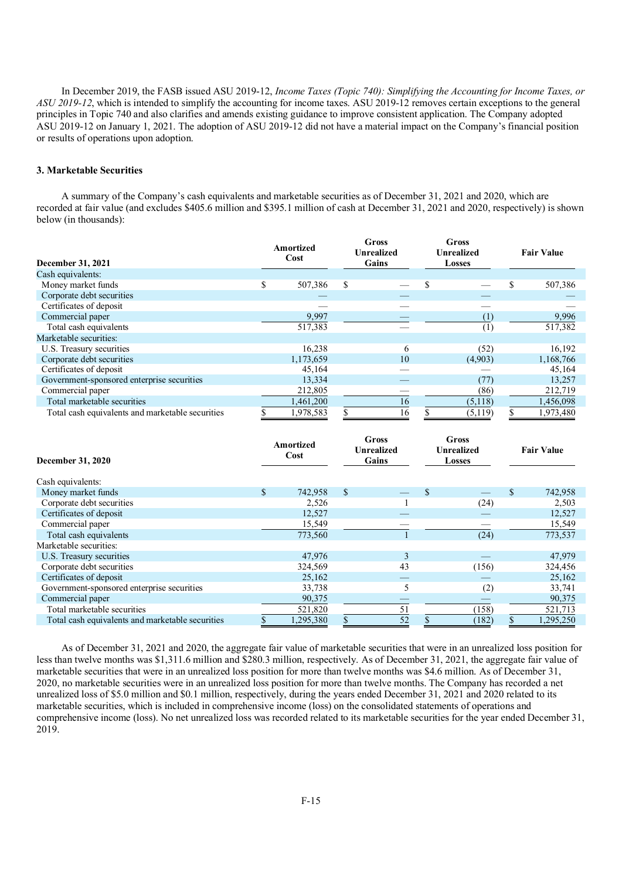In December 2019, the FASB issued ASU 2019-12, *Income Taxes (Topic 740): Simplifying the Accounting for Income Taxes, or ASU 2019-12*, which is intended to simplify the accounting for income taxes. ASU 2019-12 removes certain exceptions to the general principles in Topic 740 and also clarifies and amends existing guidance to improve consistent application. The Company adopted ASU 2019-12 on January 1, 2021. The adoption of ASU 2019-12 did not have a material impact on the Company's financial position or results of operations upon adoption.

## **3. Marketable Securities**

A summary of the Company's cash equivalents and marketable securities as of December 31, 2021 and 2020, which are recorded at fair value (and excludes \$405.6 million and \$395.1 million of cash at December 31, 2021 and 2020, respectively) is shown below (in thousands):

| December 31, 2021                                | Amortized<br>Cost |           | Gross<br>Gross<br><b>Unrealized</b><br><b>Unrealized</b><br>Gains<br><b>Losses</b> |   |         | <b>Fair Value</b> |
|--------------------------------------------------|-------------------|-----------|------------------------------------------------------------------------------------|---|---------|-------------------|
| Cash equivalents:                                |                   |           |                                                                                    |   |         |                   |
| Money market funds                               | ъĐ.               | 507,386   | \$                                                                                 | S |         | 507,386           |
| Corporate debt securities                        |                   |           |                                                                                    |   |         |                   |
| Certificates of deposit                          |                   |           |                                                                                    |   |         |                   |
| Commercial paper                                 |                   | 9,997     |                                                                                    |   | (1)     | 9,996             |
| Total cash equivalents                           |                   | 517,383   |                                                                                    |   | (1)     | 517,382           |
| Marketable securities:                           |                   |           |                                                                                    |   |         |                   |
| U.S. Treasury securities                         |                   | 16,238    | 6                                                                                  |   | (52)    | 16,192            |
| Corporate debt securities                        |                   | 1,173,659 | 10                                                                                 |   | (4,903) | 1,168,766         |
| Certificates of deposit                          |                   | 45,164    |                                                                                    |   |         | 45,164            |
| Government-sponsored enterprise securities       |                   | 13,334    |                                                                                    |   | (77)    | 13,257            |
| Commercial paper                                 |                   | 212,805   |                                                                                    |   | (86)    | 212,719           |
| Total marketable securities                      |                   | 1,461,200 | 16                                                                                 |   | (5,118) | 1,456,098         |
| Total cash equivalents and marketable securities |                   | 1,978,583 | 16                                                                                 |   | (5,119) | 1,973,480         |

| <b>December 31, 2020</b>                         | Amortized<br>Cost |    | Gross<br>Gross<br><b>Unrealized</b><br><b>Unrealized</b><br>Gains<br>Losses |    |       | <b>Fair Value</b> |           |
|--------------------------------------------------|-------------------|----|-----------------------------------------------------------------------------|----|-------|-------------------|-----------|
| Cash equivalents:                                |                   |    |                                                                             |    |       |                   |           |
| Money market funds                               | \$<br>742,958     | \$ |                                                                             | \$ |       | \$.               | 742,958   |
| Corporate debt securities                        | 2,526             |    |                                                                             |    | (24)  |                   | 2,503     |
| Certificates of deposit                          | 12,527            |    |                                                                             |    |       |                   | 12,527    |
| Commercial paper                                 | 15,549            |    |                                                                             |    |       |                   | 15,549    |
| Total cash equivalents                           | 773,560           |    |                                                                             |    | (24)  |                   | 773,537   |
| Marketable securities:                           |                   |    |                                                                             |    |       |                   |           |
| U.S. Treasury securities                         | 47,976            |    | 3                                                                           |    |       |                   | 47,979    |
| Corporate debt securities                        | 324,569           |    | 43                                                                          |    | (156) |                   | 324,456   |
| Certificates of deposit                          | 25,162            |    |                                                                             |    |       |                   | 25,162    |
| Government-sponsored enterprise securities       | 33,738            |    | 5                                                                           |    | (2)   |                   | 33,741    |
| Commercial paper                                 | 90,375            |    |                                                                             |    |       |                   | 90,375    |
| Total marketable securities                      | 521,820           |    | 51                                                                          |    | (158) |                   | 521,713   |
| Total cash equivalents and marketable securities | 1,295,380         |    | 52                                                                          |    | (182) |                   | 1,295,250 |

As of December 31, 2021 and 2020, the aggregate fair value of marketable securities that were in an unrealized loss position for less than twelve months was \$1,311.6 million and \$280.3 million, respectively. As of December 31, 2021, the aggregate fair value of marketable securities that were in an unrealized loss position for more than twelve months was \$4.6 million. As of December 31, 2020, no marketable securities were in an unrealized loss position for more than twelve months. The Company has recorded a net unrealized loss of \$5.0 million and \$0.1 million, respectively, during the years ended December 31, 2021 and 2020 related to its marketable securities, which is included in comprehensive income (loss) on the consolidated statements of operations and comprehensive income (loss). No net unrealized loss was recorded related to its marketable securities for the year ended December 31, 2019.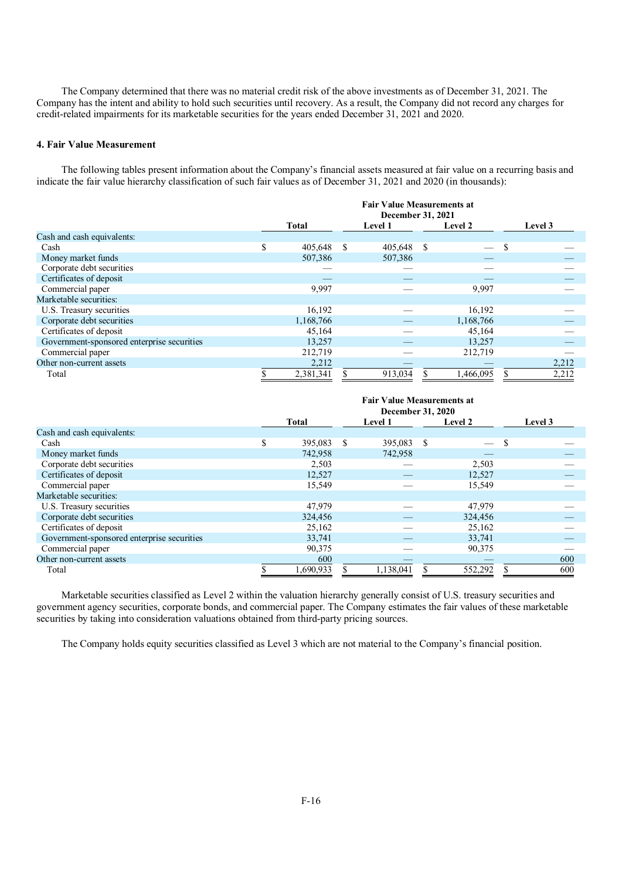The Company determined that there was no material credit risk of the above investments as of December 31, 2021. The Company has the intent and ability to hold such securities until recovery. As a result, the Company did not record any charges for credit-related impairments for its marketable securities for the years ended December 31, 2021 and 2020.

## **4. Fair Value Measurement**

The following tables present information about the Company's financial assets measured at fair value on a recurring basis and indicate the fair value hierarchy classification of such fair values as of December 31, 2021 and 2020 (in thousands):

|                                            | <b>Fair Value Measurements at</b><br><b>December 31, 2021</b> |           |    |                |               |                          |   |         |  |  |
|--------------------------------------------|---------------------------------------------------------------|-----------|----|----------------|---------------|--------------------------|---|---------|--|--|
|                                            |                                                               | Total     |    | <b>Level 1</b> |               | Level 2                  |   | Level 3 |  |  |
| Cash and cash equivalents:                 |                                                               |           |    |                |               |                          |   |         |  |  |
| Cash                                       | S                                                             | 405,648   | -S | 405,648        | <sup>\$</sup> | $\overline{\phantom{m}}$ | S |         |  |  |
| Money market funds                         |                                                               | 507,386   |    | 507,386        |               |                          |   |         |  |  |
| Corporate debt securities                  |                                                               |           |    |                |               |                          |   |         |  |  |
| Certificates of deposit                    |                                                               |           |    |                |               |                          |   |         |  |  |
| Commercial paper                           |                                                               | 9,997     |    |                |               | 9,997                    |   |         |  |  |
| Marketable securities:                     |                                                               |           |    |                |               |                          |   |         |  |  |
| U.S. Treasury securities                   |                                                               | 16,192    |    |                |               | 16,192                   |   |         |  |  |
| Corporate debt securities                  |                                                               | 1,168,766 |    |                |               | 1,168,766                |   |         |  |  |
| Certificates of deposit                    |                                                               | 45,164    |    |                |               | 45,164                   |   |         |  |  |
| Government-sponsored enterprise securities |                                                               | 13,257    |    |                |               | 13,257                   |   |         |  |  |
| Commercial paper                           |                                                               | 212,719   |    |                |               | 212,719                  |   |         |  |  |
| Other non-current assets                   |                                                               | 2,212     |    |                |               |                          |   | 2,212   |  |  |
| Total                                      |                                                               | 2,381,341 |    | 913,034        |               | 1,466,095                |   | 2,212   |  |  |

|                                            | <b>Fair Value Measurements at</b><br><b>December 31, 2020</b> |  |            |  |         |         |  |  |  |
|--------------------------------------------|---------------------------------------------------------------|--|------------|--|---------|---------|--|--|--|
|                                            | <b>Total</b>                                                  |  | Level 1    |  | Level 2 | Level 3 |  |  |  |
| Cash and cash equivalents:                 |                                                               |  |            |  |         |         |  |  |  |
| Cash                                       | \$<br>395,083 \$                                              |  | 395,083 \$ |  | $-$ \$  |         |  |  |  |
| Money market funds                         | 742,958                                                       |  | 742,958    |  |         |         |  |  |  |
| Corporate debt securities                  | 2,503                                                         |  |            |  | 2,503   |         |  |  |  |
| Certificates of deposit                    | 12,527                                                        |  |            |  | 12,527  |         |  |  |  |
| Commercial paper                           | 15,549                                                        |  |            |  | 15,549  |         |  |  |  |
| Marketable securities:                     |                                                               |  |            |  |         |         |  |  |  |
| U.S. Treasury securities                   | 47,979                                                        |  |            |  | 47,979  |         |  |  |  |
| Corporate debt securities                  | 324,456                                                       |  |            |  | 324,456 |         |  |  |  |
| Certificates of deposit                    | 25,162                                                        |  |            |  | 25,162  |         |  |  |  |
| Government-sponsored enterprise securities | 33,741                                                        |  |            |  | 33,741  |         |  |  |  |
| Commercial paper                           | 90,375                                                        |  |            |  | 90,375  |         |  |  |  |
| Other non-current assets                   | 600                                                           |  |            |  |         | 600     |  |  |  |
| Total                                      | 1.690.933                                                     |  | 1.138.041  |  | 552,292 | 600     |  |  |  |

Marketable securities classified as Level 2 within the valuation hierarchy generally consist of U.S. treasury securities and government agency securities, corporate bonds, and commercial paper. The Company estimates the fair values of these marketable securities by taking into consideration valuations obtained from third-party pricing sources.

The Company holds equity securities classified as Level 3 which are not material to the Company's financial position.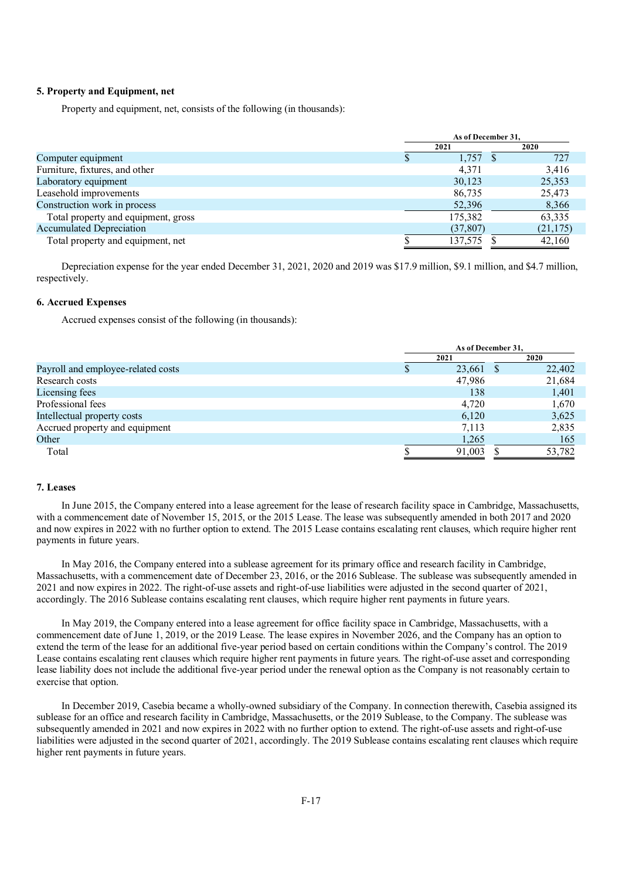## **5. Property and Equipment, net**

Property and equipment, net, consists of the following (in thousands):

|                                     | As of December 31, |  |           |  |  |
|-------------------------------------|--------------------|--|-----------|--|--|
|                                     | 2021               |  | 2020      |  |  |
| Computer equipment                  | 1,757              |  | 727       |  |  |
| Furniture, fixtures, and other      | 4,371              |  | 3,416     |  |  |
| Laboratory equipment                | 30,123             |  | 25,353    |  |  |
| Leasehold improvements              | 86,735             |  | 25,473    |  |  |
| Construction work in process        | 52,396             |  | 8,366     |  |  |
| Total property and equipment, gross | 175,382            |  | 63,335    |  |  |
| <b>Accumulated Depreciation</b>     | (37, 807)          |  | (21, 175) |  |  |
| Total property and equipment, net   | 137,575            |  | 42,160    |  |  |

Depreciation expense for the year ended December 31, 2021, 2020 and 2019 was \$17.9 million, \$9.1 million, and \$4.7 million, respectively.

## **6. Accrued Expenses**

Accrued expenses consist of the following (in thousands):

|                                    | As of December 31, |  |        |  |
|------------------------------------|--------------------|--|--------|--|
|                                    | 2021               |  | 2020   |  |
| Payroll and employee-related costs | 23,661 \$          |  | 22,402 |  |
| Research costs                     | 47,986             |  | 21,684 |  |
| Licensing fees                     | 138                |  | 1,401  |  |
| Professional fees                  | 4.720              |  | 1,670  |  |
| Intellectual property costs        | 6,120              |  | 3,625  |  |
| Accrued property and equipment     | 7,113              |  | 2,835  |  |
| Other                              | 1,265              |  | 165    |  |
| Total                              | 91,003             |  | 53,782 |  |

## **7. Leases**

In June 2015, the Company entered into a lease agreement for the lease of research facility space in Cambridge, Massachusetts, with a commencement date of November 15, 2015, or the 2015 Lease. The lease was subsequently amended in both 2017 and 2020 and now expires in 2022 with no further option to extend. The 2015 Lease contains escalating rent clauses, which require higher rent payments in future years.

In May 2016, the Company entered into a sublease agreement for its primary office and research facility in Cambridge, Massachusetts, with a commencement date of December 23, 2016, or the 2016 Sublease. The sublease was subsequently amended in 2021 and now expires in 2022. The right-of-use assets and right-of-use liabilities were adjusted in the second quarter of 2021, accordingly. The 2016 Sublease contains escalating rent clauses, which require higher rent payments in future years.

In May 2019, the Company entered into a lease agreement for office facility space in Cambridge, Massachusetts, with a commencement date of June 1, 2019, or the 2019 Lease. The lease expires in November 2026, and the Company has an option to extend the term of the lease for an additional five-year period based on certain conditions within the Company's control. The 2019 Lease contains escalating rent clauses which require higher rent payments in future years. The right-of-use asset and corresponding lease liability does not include the additional five-year period under the renewal option as the Company is not reasonably certain to exercise that option.

In December 2019, Casebia became a wholly-owned subsidiary of the Company. In connection therewith, Casebia assigned its sublease for an office and research facility in Cambridge, Massachusetts, or the 2019 Sublease, to the Company. The sublease was subsequently amended in 2021 and now expires in 2022 with no further option to extend. The right-of-use assets and right-of-use liabilities were adjusted in the second quarter of 2021, accordingly. The 2019 Sublease contains escalating rent clauses which require higher rent payments in future years.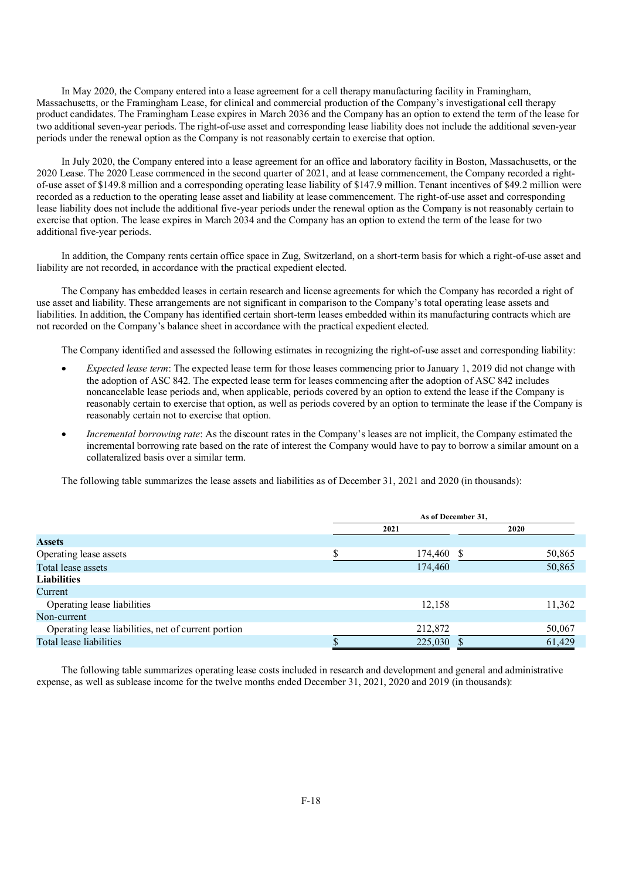In May 2020, the Company entered into a lease agreement for a cell therapy manufacturing facility in Framingham, Massachusetts, or the Framingham Lease, for clinical and commercial production of the Company's investigational cell therapy product candidates. The Framingham Lease expires in March 2036 and the Company has an option to extend the term of the lease for two additional seven-year periods. The right-of-use asset and corresponding lease liability does not include the additional seven-year periods under the renewal option as the Company is not reasonably certain to exercise that option.

In July 2020, the Company entered into a lease agreement for an office and laboratory facility in Boston, Massachusetts, or the 2020 Lease. The 2020 Lease commenced in the second quarter of 2021, and at lease commencement, the Company recorded a rightof-use asset of \$149.8 million and a corresponding operating lease liability of \$147.9 million. Tenant incentives of \$49.2 million were recorded as a reduction to the operating lease asset and liability at lease commencement. The right-of-use asset and corresponding lease liability does not include the additional five-year periods under the renewal option as the Company is not reasonably certain to exercise that option. The lease expires in March 2034 and the Company has an option to extend the term of the lease for two additional five-year periods.

In addition, the Company rents certain office space in Zug, Switzerland, on a short-term basis for which a right-of-use asset and liability are not recorded, in accordance with the practical expedient elected.

The Company has embedded leases in certain research and license agreements for which the Company has recorded a right of use asset and liability. These arrangements are not significant in comparison to the Company's total operating lease assets and liabilities. In addition, the Company has identified certain short-term leases embedded within its manufacturing contracts which are not recorded on the Company's balance sheet in accordance with the practical expedient elected.

The Company identified and assessed the following estimates in recognizing the right-of-use asset and corresponding liability:

- *Expected lease term*: The expected lease term for those leases commencing prior to January 1, 2019 did not change with the adoption of ASC 842. The expected lease term for leases commencing after the adoption of ASC 842 includes noncancelable lease periods and, when applicable, periods covered by an option to extend the lease if the Company is reasonably certain to exercise that option, as well as periods covered by an option to terminate the lease if the Company is reasonably certain not to exercise that option.
- *Incremental borrowing rate*: As the discount rates in the Company's leases are not implicit, the Company estimated the incremental borrowing rate based on the rate of interest the Company would have to pay to borrow a similar amount on a collateralized basis over a similar term.

The following table summarizes the lease assets and liabilities as of December 31, 2021 and 2020 (in thousands):

|                                                     |         | As of December 31, |  |        |  |  |  |
|-----------------------------------------------------|---------|--------------------|--|--------|--|--|--|
|                                                     |         | 2021               |  | 2020   |  |  |  |
| <b>Assets</b>                                       |         |                    |  |        |  |  |  |
| Operating lease assets                              | ¢       | 174,460 \$         |  | 50,865 |  |  |  |
| Total lease assets                                  |         | 174,460            |  | 50,865 |  |  |  |
| <b>Liabilities</b>                                  |         |                    |  |        |  |  |  |
| Current                                             |         |                    |  |        |  |  |  |
| Operating lease liabilities                         |         | 12,158             |  | 11,362 |  |  |  |
| Non-current                                         |         |                    |  |        |  |  |  |
| Operating lease liabilities, net of current portion |         | 212,872            |  | 50,067 |  |  |  |
| Total lease liabilities                             | ¢<br>ъĐ | 225,030 \$         |  | 61.429 |  |  |  |

The following table summarizes operating lease costs included in research and development and general and administrative expense, as well as sublease income for the twelve months ended December 31, 2021, 2020 and 2019 (in thousands):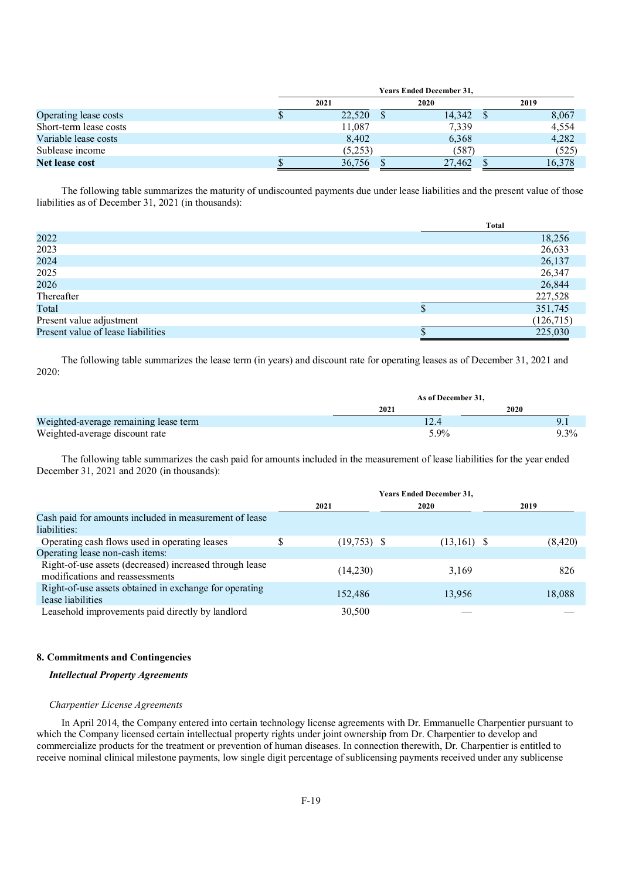|                        | <b>Years Ended December 31,</b> |  |        |  |        |  |  |
|------------------------|---------------------------------|--|--------|--|--------|--|--|
|                        | 2021                            |  | 2020   |  | 2019   |  |  |
| Operating lease costs  | 22,520                          |  | 14.342 |  | 8,067  |  |  |
| Short-term lease costs | 11,087                          |  | 7,339  |  | 4.554  |  |  |
| Variable lease costs   | 8,402                           |  | 6,368  |  | 4,282  |  |  |
| Sublease income        | (5,253)                         |  | (587)  |  | (525)  |  |  |
| Net lease cost         | 36,756                          |  | 27,462 |  | 16,378 |  |  |

The following table summarizes the maturity of undiscounted payments due under lease liabilities and the present value of those liabilities as of December 31, 2021 (in thousands):

|                                    | Total     |
|------------------------------------|-----------|
| 2022                               | 18,256    |
| 2023                               | 26,633    |
| 2024                               | 26,137    |
| 2025                               | 26,347    |
| 2026                               | 26,844    |
| Thereafter                         | 227,528   |
| Total                              | 351,745   |
| Present value adjustment           | (126,715) |
| Present value of lease liabilities | 225,030   |

The following table summarizes the lease term (in years) and discount rate for operating leases as of December 31, 2021 and 2020:

|                                       |      | As of December 31, |  |  |  |
|---------------------------------------|------|--------------------|--|--|--|
|                                       | 2021 | <b>2020</b>        |  |  |  |
| Weighted-average remaining lease term |      |                    |  |  |  |
| Weighted-average discount rate        | 5.9% | $9.3\%$            |  |  |  |

The following table summarizes the cash paid for amounts included in the measurement of lease liabilities for the year ended December 31, 2021 and 2020 (in thousands):

|                                                                                            | <b>Years Ended December 31,</b> |               |         |  |  |  |
|--------------------------------------------------------------------------------------------|---------------------------------|---------------|---------|--|--|--|
|                                                                                            | 2021                            | 2020          | 2019    |  |  |  |
| Cash paid for amounts included in measurement of lease<br>liabilities:                     |                                 |               |         |  |  |  |
| Operating cash flows used in operating leases                                              | $(19,753)$ \$                   | $(13,161)$ \$ | (8,420) |  |  |  |
| Operating lease non-cash items:                                                            |                                 |               |         |  |  |  |
| Right-of-use assets (decreased) increased through lease<br>modifications and reassessments | (14,230)                        | 3,169         | 826     |  |  |  |
| Right-of-use assets obtained in exchange for operating<br>lease liabilities                | 152,486                         | 13,956        | 18,088  |  |  |  |
| Leasehold improvements paid directly by landlord                                           | 30,500                          |               |         |  |  |  |

## **8. Commitments and Contingencies**

## *Intellectual Property Agreements*

## *Charpentier License Agreements*

In April 2014, the Company entered into certain technology license agreements with Dr. Emmanuelle Charpentier pursuant to which the Company licensed certain intellectual property rights under joint ownership from Dr. Charpentier to develop and commercialize products for the treatment or prevention of human diseases. In connection therewith, Dr. Charpentier is entitled to receive nominal clinical milestone payments, low single digit percentage of sublicensing payments received under any sublicense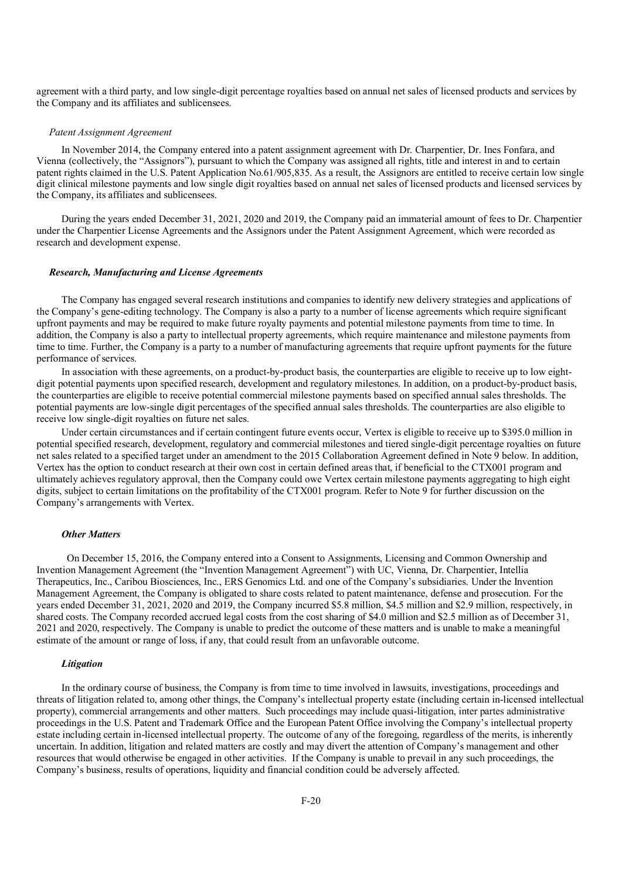agreement with a third party, and low single-digit percentage royalties based on annual net sales of licensed products and services by the Company and its affiliates and sublicensees.

## *Patent Assignment Agreement*

In November 2014, the Company entered into a patent assignment agreement with Dr. Charpentier, Dr. Ines Fonfara, and Vienna (collectively, the "Assignors"), pursuant to which the Company was assigned all rights, title and interest in and to certain patent rights claimed in the U.S. Patent Application No.61/905,835. As a result, the Assignors are entitled to receive certain low single digit clinical milestone payments and low single digit royalties based on annual net sales of licensed products and licensed services by the Company, its affiliates and sublicensees.

During the years ended December 31, 2021, 2020 and 2019, the Company paid an immaterial amount of fees to Dr. Charpentier under the Charpentier License Agreements and the Assignors under the Patent Assignment Agreement, which were recorded as research and development expense.

#### *Research, Manufacturing and License Agreements*

The Company has engaged several research institutions and companies to identify new delivery strategies and applications of the Company's gene-editing technology. The Company is also a party to a number of license agreements which require significant upfront payments and may be required to make future royalty payments and potential milestone payments from time to time. In addition, the Company is also a party to intellectual property agreements, which require maintenance and milestone payments from time to time. Further, the Company is a party to a number of manufacturing agreements that require upfront payments for the future performance of services.

In association with these agreements, on a product-by-product basis, the counterparties are eligible to receive up to low eightdigit potential payments upon specified research, development and regulatory milestones. In addition, on a product-by-product basis, the counterparties are eligible to receive potential commercial milestone payments based on specified annual sales thresholds. The potential payments are low-single digit percentages of the specified annual sales thresholds. The counterparties are also eligible to receive low single-digit royalties on future net sales.

Under certain circumstances and if certain contingent future events occur, Vertex is eligible to receive up to \$395.0 million in potential specified research, development, regulatory and commercial milestones and tiered single-digit percentage royalties on future net sales related to a specified target under an amendment to the 2015 Collaboration Agreement defined in Note 9 below. In addition, Vertex has the option to conduct research at their own cost in certain defined areas that, if beneficial to the CTX001 program and ultimately achieves regulatory approval, then the Company could owe Vertex certain milestone payments aggregating to high eight digits, subject to certain limitations on the profitability of the CTX001 program. Refer to Note 9 for further discussion on the Company's arrangements with Vertex.

## *Other Matters*

 On December 15, 2016, the Company entered into a Consent to Assignments, Licensing and Common Ownership and Invention Management Agreement (the "Invention Management Agreement") with UC, Vienna, Dr. Charpentier, Intellia Therapeutics, Inc., Caribou Biosciences, Inc., ERS Genomics Ltd. and one of the Company's subsidiaries. Under the Invention Management Agreement, the Company is obligated to share costs related to patent maintenance, defense and prosecution. For the years ended December 31, 2021, 2020 and 2019, the Company incurred \$5.8 million, \$4.5 million and \$2.9 million, respectively, in shared costs. The Company recorded accrued legal costs from the cost sharing of \$4.0 million and \$2.5 million as of December 31, 2021 and 2020, respectively. The Company is unable to predict the outcome of these matters and is unable to make a meaningful estimate of the amount or range of loss, if any, that could result from an unfavorable outcome.

## *Litigation*

In the ordinary course of business, the Company is from time to time involved in lawsuits, investigations, proceedings and threats of litigation related to, among other things, the Company's intellectual property estate (including certain in-licensed intellectual property), commercial arrangements and other matters. Such proceedings may include quasi-litigation, inter partes administrative proceedings in the U.S. Patent and Trademark Office and the European Patent Office involving the Company's intellectual property estate including certain in-licensed intellectual property. The outcome of any of the foregoing, regardless of the merits, is inherently uncertain. In addition, litigation and related matters are costly and may divert the attention of Company's management and other resources that would otherwise be engaged in other activities. If the Company is unable to prevail in any such proceedings, the Company's business, results of operations, liquidity and financial condition could be adversely affected.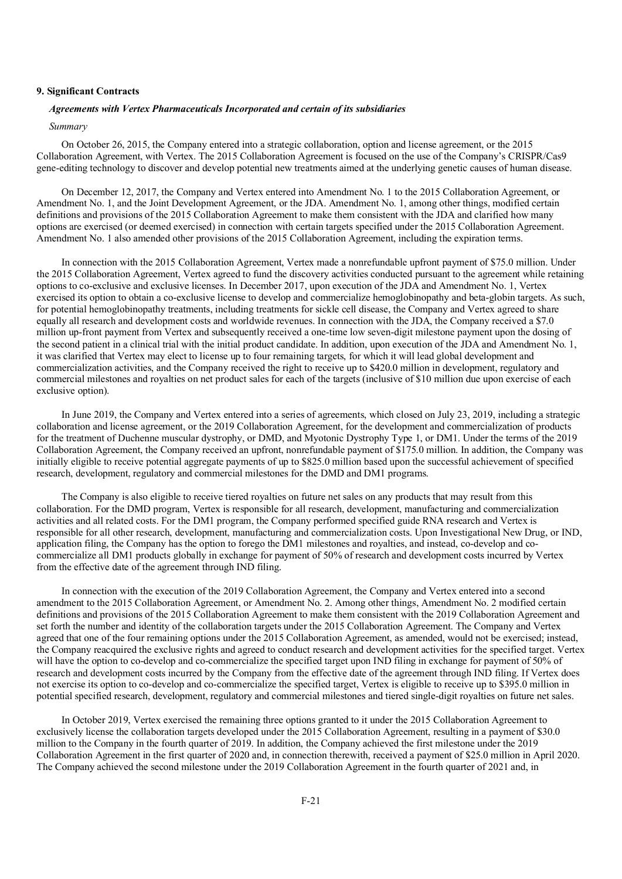## **9. Significant Contracts**

## *Agreements with Vertex Pharmaceuticals Incorporated and certain of its subsidiaries*

## *Summary*

On October 26, 2015, the Company entered into a strategic collaboration, option and license agreement, or the 2015 Collaboration Agreement, with Vertex. The 2015 Collaboration Agreement is focused on the use of the Company's CRISPR/Cas9 gene-editing technology to discover and develop potential new treatments aimed at the underlying genetic causes of human disease.

On December 12, 2017, the Company and Vertex entered into Amendment No. 1 to the 2015 Collaboration Agreement, or Amendment No. 1, and the Joint Development Agreement, or the JDA. Amendment No. 1, among other things, modified certain definitions and provisions of the 2015 Collaboration Agreement to make them consistent with the JDA and clarified how many options are exercised (or deemed exercised) in connection with certain targets specified under the 2015 Collaboration Agreement. Amendment No. 1 also amended other provisions of the 2015 Collaboration Agreement, including the expiration terms.

In connection with the 2015 Collaboration Agreement, Vertex made a nonrefundable upfront payment of \$75.0 million. Under the 2015 Collaboration Agreement, Vertex agreed to fund the discovery activities conducted pursuant to the agreement while retaining options to co-exclusive and exclusive licenses. In December 2017, upon execution of the JDA and Amendment No. 1, Vertex exercised its option to obtain a co-exclusive license to develop and commercialize hemoglobinopathy and beta-globin targets. As such, for potential hemoglobinopathy treatments, including treatments for sickle cell disease, the Company and Vertex agreed to share equally all research and development costs and worldwide revenues. In connection with the JDA, the Company received a \$7.0 million up-front payment from Vertex and subsequently received a one-time low seven-digit milestone payment upon the dosing of the second patient in a clinical trial with the initial product candidate. In addition, upon execution of the JDA and Amendment No. 1, it was clarified that Vertex may elect to license up to four remaining targets, for which it will lead global development and commercialization activities, and the Company received the right to receive up to \$420.0 million in development, regulatory and commercial milestones and royalties on net product sales for each of the targets (inclusive of \$10 million due upon exercise of each exclusive option).

In June 2019, the Company and Vertex entered into a series of agreements, which closed on July 23, 2019, including a strategic collaboration and license agreement, or the 2019 Collaboration Agreement, for the development and commercialization of products for the treatment of Duchenne muscular dystrophy, or DMD, and Myotonic Dystrophy Type 1, or DM1. Under the terms of the 2019 Collaboration Agreement, the Company received an upfront, nonrefundable payment of \$175.0 million. In addition, the Company was initially eligible to receive potential aggregate payments of up to \$825.0 million based upon the successful achievement of specified research, development, regulatory and commercial milestones for the DMD and DM1 programs.

The Company is also eligible to receive tiered royalties on future net sales on any products that may result from this collaboration. For the DMD program, Vertex is responsible for all research, development, manufacturing and commercialization activities and all related costs. For the DM1 program, the Company performed specified guide RNA research and Vertex is responsible for all other research, development, manufacturing and commercialization costs. Upon Investigational New Drug, or IND, application filing, the Company has the option to forego the DM1 milestones and royalties, and instead, co-develop and cocommercialize all DM1 products globally in exchange for payment of 50% of research and development costs incurred by Vertex from the effective date of the agreement through IND filing.

In connection with the execution of the 2019 Collaboration Agreement, the Company and Vertex entered into a second amendment to the 2015 Collaboration Agreement, or Amendment No. 2. Among other things, Amendment No. 2 modified certain definitions and provisions of the 2015 Collaboration Agreement to make them consistent with the 2019 Collaboration Agreement and set forth the number and identity of the collaboration targets under the 2015 Collaboration Agreement. The Company and Vertex agreed that one of the four remaining options under the 2015 Collaboration Agreement, as amended, would not be exercised; instead, the Company reacquired the exclusive rights and agreed to conduct research and development activities for the specified target. Vertex will have the option to co-develop and co-commercialize the specified target upon IND filing in exchange for payment of 50% of research and development costs incurred by the Company from the effective date of the agreement through IND filing. If Vertex does not exercise its option to co-develop and co-commercialize the specified target, Vertex is eligible to receive up to \$395.0 million in potential specified research, development, regulatory and commercial milestones and tiered single-digit royalties on future net sales.

In October 2019, Vertex exercised the remaining three options granted to it under the 2015 Collaboration Agreement to exclusively license the collaboration targets developed under the 2015 Collaboration Agreement, resulting in a payment of \$30.0 million to the Company in the fourth quarter of 2019. In addition, the Company achieved the first milestone under the 2019 Collaboration Agreement in the first quarter of 2020 and, in connection therewith, received a payment of \$25.0 million in April 2020. The Company achieved the second milestone under the 2019 Collaboration Agreement in the fourth quarter of 2021 and, in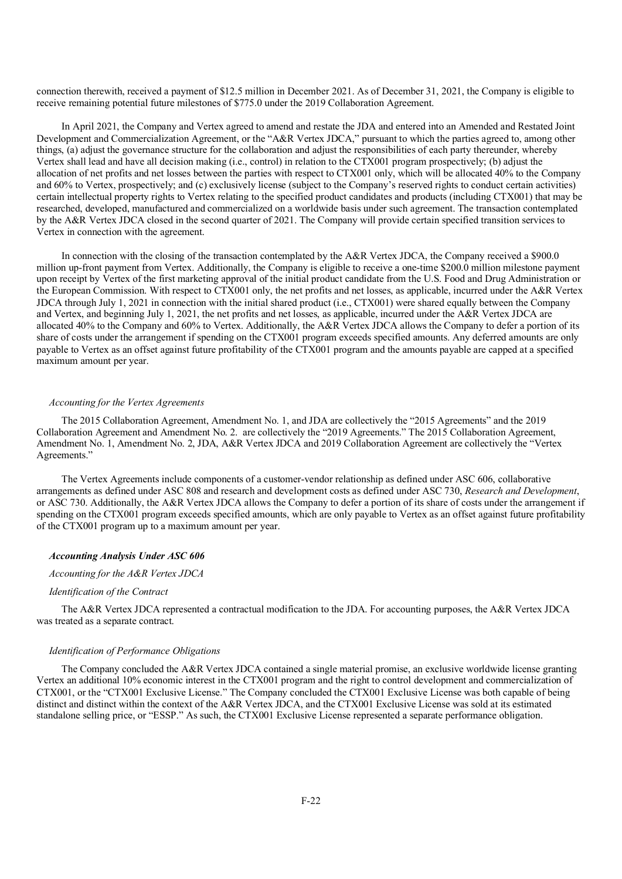connection therewith, received a payment of \$12.5 million in December 2021. As of December 31, 2021, the Company is eligible to receive remaining potential future milestones of \$775.0 under the 2019 Collaboration Agreement.

In April 2021, the Company and Vertex agreed to amend and restate the JDA and entered into an Amended and Restated Joint Development and Commercialization Agreement, or the "A&R Vertex JDCA," pursuant to which the parties agreed to, among other things, (a) adjust the governance structure for the collaboration and adjust the responsibilities of each party thereunder, whereby Vertex shall lead and have all decision making (i.e., control) in relation to the CTX001 program prospectively; (b) adjust the allocation of net profits and net losses between the parties with respect to CTX001 only, which will be allocated 40% to the Company and 60% to Vertex, prospectively; and (c) exclusively license (subject to the Company's reserved rights to conduct certain activities) certain intellectual property rights to Vertex relating to the specified product candidates and products (including CTX001) that may be researched, developed, manufactured and commercialized on a worldwide basis under such agreement. The transaction contemplated by the A&R Vertex JDCA closed in the second quarter of 2021. The Company will provide certain specified transition services to Vertex in connection with the agreement.

In connection with the closing of the transaction contemplated by the A&R Vertex JDCA, the Company received a \$900.0 million up-front payment from Vertex. Additionally, the Company is eligible to receive a one-time \$200.0 million milestone payment upon receipt by Vertex of the first marketing approval of the initial product candidate from the U.S. Food and Drug Administration or the European Commission. With respect to CTX001 only, the net profits and net losses, as applicable, incurred under the A&R Vertex JDCA through July 1, 2021 in connection with the initial shared product (i.e., CTX001) were shared equally between the Company and Vertex, and beginning July 1, 2021, the net profits and net losses, as applicable, incurred under the A&R Vertex JDCA are allocated 40% to the Company and 60% to Vertex. Additionally, the A&R Vertex JDCA allows the Company to defer a portion of its share of costs under the arrangement if spending on the CTX001 program exceeds specified amounts. Any deferred amounts are only payable to Vertex as an offset against future profitability of the CTX001 program and the amounts payable are capped at a specified maximum amount per year.

#### *Accounting for the Vertex Agreements*

The 2015 Collaboration Agreement, Amendment No. 1, and JDA are collectively the "2015 Agreements" and the 2019 Collaboration Agreement and Amendment No. 2. are collectively the "2019 Agreements." The 2015 Collaboration Agreement, Amendment No. 1, Amendment No. 2, JDA, A&R Vertex JDCA and 2019 Collaboration Agreement are collectively the "Vertex Agreements."

The Vertex Agreements include components of a customer-vendor relationship as defined under ASC 606, collaborative arrangements as defined under ASC 808 and research and development costs as defined under ASC 730, *Research and Development*, or ASC 730. Additionally, the A&R Vertex JDCA allows the Company to defer a portion of its share of costs under the arrangement if spending on the CTX001 program exceeds specified amounts, which are only payable to Vertex as an offset against future profitability of the CTX001 program up to a maximum amount per year.

#### *Accounting Analysis Under ASC 606*

#### *Accounting for the A&R Vertex JDCA*

## *Identification of the Contract*

The A&R Vertex JDCA represented a contractual modification to the JDA. For accounting purposes, the A&R Vertex JDCA was treated as a separate contract.

#### *Identification of Performance Obligations*

The Company concluded the A&R Vertex JDCA contained a single material promise, an exclusive worldwide license granting Vertex an additional 10% economic interest in the CTX001 program and the right to control development and commercialization of CTX001, or the "CTX001 Exclusive License." The Company concluded the CTX001 Exclusive License was both capable of being distinct and distinct within the context of the A&R Vertex JDCA, and the CTX001 Exclusive License was sold at its estimated standalone selling price, or "ESSP." As such, the CTX001 Exclusive License represented a separate performance obligation.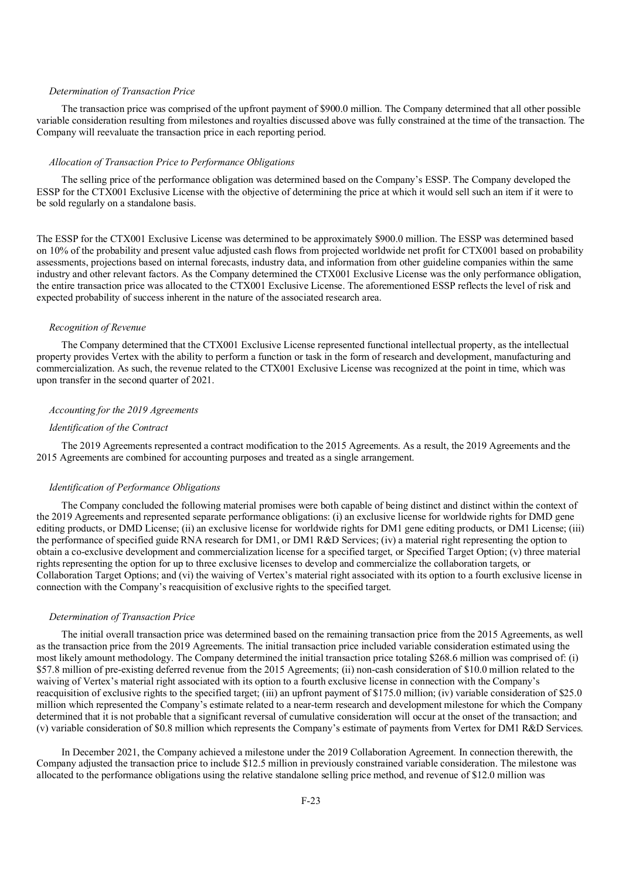## *Determination of Transaction Price*

The transaction price was comprised of the upfront payment of \$900.0 million. The Company determined that all other possible variable consideration resulting from milestones and royalties discussed above was fully constrained at the time of the transaction. The Company will reevaluate the transaction price in each reporting period.

#### *Allocation of Transaction Price to Performance Obligations*

The selling price of the performance obligation was determined based on the Company's ESSP. The Company developed the ESSP for the CTX001 Exclusive License with the objective of determining the price at which it would sell such an item if it were to be sold regularly on a standalone basis.

The ESSP for the CTX001 Exclusive License was determined to be approximately \$900.0 million. The ESSP was determined based on 10% of the probability and present value adjusted cash flows from projected worldwide net profit for CTX001 based on probability assessments, projections based on internal forecasts, industry data, and information from other guideline companies within the same industry and other relevant factors. As the Company determined the CTX001 Exclusive License was the only performance obligation, the entire transaction price was allocated to the CTX001 Exclusive License. The aforementioned ESSP reflects the level of risk and expected probability of success inherent in the nature of the associated research area.

#### *Recognition of Revenue*

The Company determined that the CTX001 Exclusive License represented functional intellectual property, as the intellectual property provides Vertex with the ability to perform a function or task in the form of research and development, manufacturing and commercialization. As such, the revenue related to the CTX001 Exclusive License was recognized at the point in time, which was upon transfer in the second quarter of 2021.

## *Accounting for the 2019 Agreements*

## *Identification of the Contract*

The 2019 Agreements represented a contract modification to the 2015 Agreements. As a result, the 2019 Agreements and the 2015 Agreements are combined for accounting purposes and treated as a single arrangement.

## *Identification of Performance Obligations*

The Company concluded the following material promises were both capable of being distinct and distinct within the context of the 2019 Agreements and represented separate performance obligations: (i) an exclusive license for worldwide rights for DMD gene editing products, or DMD License; (ii) an exclusive license for worldwide rights for DM1 gene editing products, or DM1 License; (iii) the performance of specified guide RNA research for DM1, or DM1 R&D Services; (iv) a material right representing the option to obtain a co-exclusive development and commercialization license for a specified target, or Specified Target Option; (v) three material rights representing the option for up to three exclusive licenses to develop and commercialize the collaboration targets, or Collaboration Target Options; and (vi) the waiving of Vertex's material right associated with its option to a fourth exclusive license in connection with the Company's reacquisition of exclusive rights to the specified target.

#### *Determination of Transaction Price*

The initial overall transaction price was determined based on the remaining transaction price from the 2015 Agreements, as well as the transaction price from the 2019 Agreements. The initial transaction price included variable consideration estimated using the most likely amount methodology. The Company determined the initial transaction price totaling \$268.6 million was comprised of: (i) \$57.8 million of pre-existing deferred revenue from the 2015 Agreements; (ii) non-cash consideration of \$10.0 million related to the waiving of Vertex's material right associated with its option to a fourth exclusive license in connection with the Company's reacquisition of exclusive rights to the specified target; (iii) an upfront payment of \$175.0 million; (iv) variable consideration of \$25.0 million which represented the Company's estimate related to a near-term research and development milestone for which the Company determined that it is not probable that a significant reversal of cumulative consideration will occur at the onset of the transaction; and (v) variable consideration of \$0.8 million which represents the Company's estimate of payments from Vertex for DM1 R&D Services.

In December 2021, the Company achieved a milestone under the 2019 Collaboration Agreement. In connection therewith, the Company adjusted the transaction price to include \$12.5 million in previously constrained variable consideration. The milestone was allocated to the performance obligations using the relative standalone selling price method, and revenue of \$12.0 million was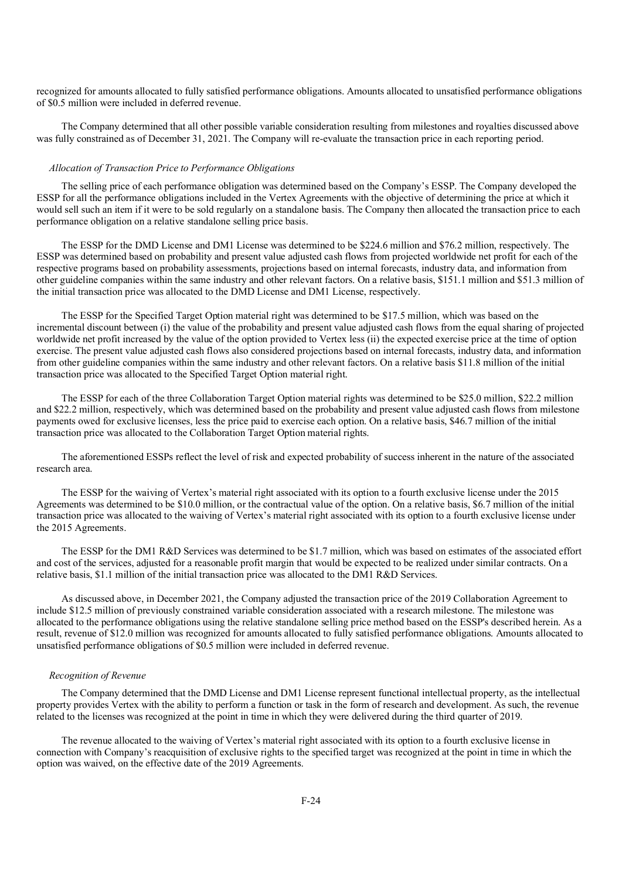recognized for amounts allocated to fully satisfied performance obligations. Amounts allocated to unsatisfied performance obligations of \$0.5 million were included in deferred revenue.

The Company determined that all other possible variable consideration resulting from milestones and royalties discussed above was fully constrained as of December 31, 2021. The Company will re-evaluate the transaction price in each reporting period.

## *Allocation of Transaction Price to Performance Obligations*

The selling price of each performance obligation was determined based on the Company's ESSP. The Company developed the ESSP for all the performance obligations included in the Vertex Agreements with the objective of determining the price at which it would sell such an item if it were to be sold regularly on a standalone basis. The Company then allocated the transaction price to each performance obligation on a relative standalone selling price basis.

The ESSP for the DMD License and DM1 License was determined to be \$224.6 million and \$76.2 million, respectively. The ESSP was determined based on probability and present value adjusted cash flows from projected worldwide net profit for each of the respective programs based on probability assessments, projections based on internal forecasts, industry data, and information from other guideline companies within the same industry and other relevant factors. On a relative basis, \$151.1 million and \$51.3 million of the initial transaction price was allocated to the DMD License and DM1 License, respectively.

The ESSP for the Specified Target Option material right was determined to be \$17.5 million, which was based on the incremental discount between (i) the value of the probability and present value adjusted cash flows from the equal sharing of projected worldwide net profit increased by the value of the option provided to Vertex less (ii) the expected exercise price at the time of option exercise. The present value adjusted cash flows also considered projections based on internal forecasts, industry data, and information from other guideline companies within the same industry and other relevant factors. On a relative basis \$11.8 million of the initial transaction price was allocated to the Specified Target Option material right.

The ESSP for each of the three Collaboration Target Option material rights was determined to be \$25.0 million, \$22.2 million and \$22.2 million, respectively, which was determined based on the probability and present value adjusted cash flows from milestone payments owed for exclusive licenses, less the price paid to exercise each option. On a relative basis, \$46.7 million of the initial transaction price was allocated to the Collaboration Target Option material rights.

The aforementioned ESSPs reflect the level of risk and expected probability of success inherent in the nature of the associated research area.

The ESSP for the waiving of Vertex's material right associated with its option to a fourth exclusive license under the 2015 Agreements was determined to be \$10.0 million, or the contractual value of the option. On a relative basis, \$6.7 million of the initial transaction price was allocated to the waiving of Vertex's material right associated with its option to a fourth exclusive license under the 2015 Agreements.

The ESSP for the DM1 R&D Services was determined to be \$1.7 million, which was based on estimates of the associated effort and cost of the services, adjusted for a reasonable profit margin that would be expected to be realized under similar contracts. On a relative basis, \$1.1 million of the initial transaction price was allocated to the DM1 R&D Services.

As discussed above, in December 2021, the Company adjusted the transaction price of the 2019 Collaboration Agreement to include \$12.5 million of previously constrained variable consideration associated with a research milestone. The milestone was allocated to the performance obligations using the relative standalone selling price method based on the ESSP's described herein. As a result, revenue of \$12.0 million was recognized for amounts allocated to fully satisfied performance obligations. Amounts allocated to unsatisfied performance obligations of \$0.5 million were included in deferred revenue.

## *Recognition of Revenue*

The Company determined that the DMD License and DM1 License represent functional intellectual property, as the intellectual property provides Vertex with the ability to perform a function or task in the form of research and development. As such, the revenue related to the licenses was recognized at the point in time in which they were delivered during the third quarter of 2019.

The revenue allocated to the waiving of Vertex's material right associated with its option to a fourth exclusive license in connection with Company's reacquisition of exclusive rights to the specified target was recognized at the point in time in which the option was waived, on the effective date of the 2019 Agreements.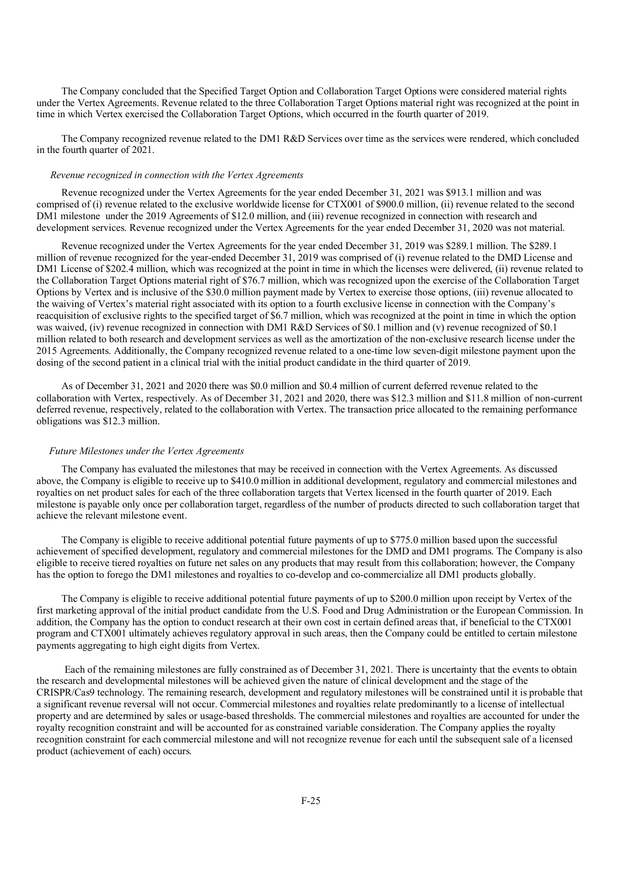The Company concluded that the Specified Target Option and Collaboration Target Options were considered material rights under the Vertex Agreements. Revenue related to the three Collaboration Target Options material right was recognized at the point in time in which Vertex exercised the Collaboration Target Options, which occurred in the fourth quarter of 2019.

The Company recognized revenue related to the DM1 R&D Services over time as the services were rendered, which concluded in the fourth quarter of 2021.

## *Revenue recognized in connection with the Vertex Agreements*

Revenue recognized under the Vertex Agreements for the year ended December 31, 2021 was \$913.1 million and was comprised of (i) revenue related to the exclusive worldwide license for CTX001 of \$900.0 million, (ii) revenue related to the second DM1 milestone under the 2019 Agreements of \$12.0 million, and (iii) revenue recognized in connection with research and development services. Revenue recognized under the Vertex Agreements for the year ended December 31, 2020 was not material.

Revenue recognized under the Vertex Agreements for the year ended December 31, 2019 was \$289.1 million. The \$289.1 million of revenue recognized for the year-ended December 31, 2019 was comprised of (i) revenue related to the DMD License and DM1 License of \$202.4 million, which was recognized at the point in time in which the licenses were delivered, (ii) revenue related to the Collaboration Target Options material right of \$76.7 million, which was recognized upon the exercise of the Collaboration Target Options by Vertex and is inclusive of the \$30.0 million payment made by Vertex to exercise those options, (iii) revenue allocated to the waiving of Vertex's material right associated with its option to a fourth exclusive license in connection with the Company's reacquisition of exclusive rights to the specified target of \$6.7 million, which was recognized at the point in time in which the option was waived, (iv) revenue recognized in connection with DM1 R&D Services of \$0.1 million and (v) revenue recognized of \$0.1 million related to both research and development services as well as the amortization of the non-exclusive research license under the 2015 Agreements. Additionally, the Company recognized revenue related to a one-time low seven-digit milestone payment upon the dosing of the second patient in a clinical trial with the initial product candidate in the third quarter of 2019.

As of December 31, 2021 and 2020 there was \$0.0 million and \$0.4 million of current deferred revenue related to the collaboration with Vertex, respectively. As of December 31, 2021 and 2020, there was \$12.3 million and \$11.8 million of non-current deferred revenue, respectively, related to the collaboration with Vertex. The transaction price allocated to the remaining performance obligations was \$12.3 million.

#### *Future Milestones under the Vertex Agreements*

The Company has evaluated the milestones that may be received in connection with the Vertex Agreements. As discussed above, the Company is eligible to receive up to \$410.0 million in additional development, regulatory and commercial milestones and royalties on net product sales for each of the three collaboration targets that Vertex licensed in the fourth quarter of 2019. Each milestone is payable only once per collaboration target, regardless of the number of products directed to such collaboration target that achieve the relevant milestone event.

The Company is eligible to receive additional potential future payments of up to \$775.0 million based upon the successful achievement of specified development, regulatory and commercial milestones for the DMD and DM1 programs. The Company is also eligible to receive tiered royalties on future net sales on any products that may result from this collaboration; however, the Company has the option to forego the DM1 milestones and royalties to co-develop and co-commercialize all DM1 products globally.

The Company is eligible to receive additional potential future payments of up to \$200.0 million upon receipt by Vertex of the first marketing approval of the initial product candidate from the U.S. Food and Drug Administration or the European Commission. In addition, the Company has the option to conduct research at their own cost in certain defined areas that, if beneficial to the CTX001 program and CTX001 ultimately achieves regulatory approval in such areas, then the Company could be entitled to certain milestone payments aggregating to high eight digits from Vertex.

Each of the remaining milestones are fully constrained as of December 31, 2021. There is uncertainty that the events to obtain the research and developmental milestones will be achieved given the nature of clinical development and the stage of the CRISPR/Cas9 technology. The remaining research, development and regulatory milestones will be constrained until it is probable that a significant revenue reversal will not occur. Commercial milestones and royalties relate predominantly to a license of intellectual property and are determined by sales or usage-based thresholds. The commercial milestones and royalties are accounted for under the royalty recognition constraint and will be accounted for as constrained variable consideration. The Company applies the royalty recognition constraint for each commercial milestone and will not recognize revenue for each until the subsequent sale of a licensed product (achievement of each) occurs.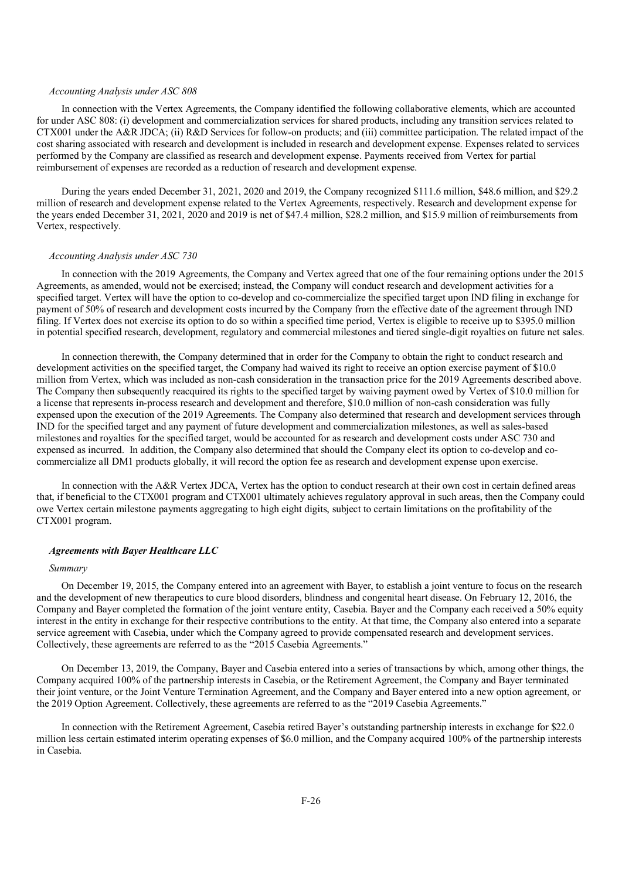## *Accounting Analysis under ASC 808*

In connection with the Vertex Agreements, the Company identified the following collaborative elements, which are accounted for under ASC 808: (i) development and commercialization services for shared products, including any transition services related to CTX001 under the A&R JDCA; (ii) R&D Services for follow-on products; and (iii) committee participation. The related impact of the cost sharing associated with research and development is included in research and development expense. Expenses related to services performed by the Company are classified as research and development expense. Payments received from Vertex for partial reimbursement of expenses are recorded as a reduction of research and development expense.

During the years ended December 31, 2021, 2020 and 2019, the Company recognized \$111.6 million, \$48.6 million, and \$29.2 million of research and development expense related to the Vertex Agreements, respectively. Research and development expense for the years ended December 31, 2021, 2020 and 2019 is net of \$47.4 million, \$28.2 million, and \$15.9 million of reimbursements from Vertex, respectively.

#### *Accounting Analysis under ASC 730*

In connection with the 2019 Agreements, the Company and Vertex agreed that one of the four remaining options under the 2015 Agreements, as amended, would not be exercised; instead, the Company will conduct research and development activities for a specified target. Vertex will have the option to co-develop and co-commercialize the specified target upon IND filing in exchange for payment of 50% of research and development costs incurred by the Company from the effective date of the agreement through IND filing. If Vertex does not exercise its option to do so within a specified time period, Vertex is eligible to receive up to \$395.0 million in potential specified research, development, regulatory and commercial milestones and tiered single-digit royalties on future net sales.

In connection therewith, the Company determined that in order for the Company to obtain the right to conduct research and development activities on the specified target, the Company had waived its right to receive an option exercise payment of \$10.0 million from Vertex, which was included as non-cash consideration in the transaction price for the 2019 Agreements described above. The Company then subsequently reacquired its rights to the specified target by waiving payment owed by Vertex of \$10.0 million for a license that represents in-process research and development and therefore, \$10.0 million of non-cash consideration was fully expensed upon the execution of the 2019 Agreements. The Company also determined that research and development services through IND for the specified target and any payment of future development and commercialization milestones, as well as sales-based milestones and royalties for the specified target, would be accounted for as research and development costs under ASC 730 and expensed as incurred. In addition, the Company also determined that should the Company elect its option to co-develop and cocommercialize all DM1 products globally, it will record the option fee as research and development expense upon exercise.

In connection with the A&R Vertex JDCA, Vertex has the option to conduct research at their own cost in certain defined areas that, if beneficial to the CTX001 program and CTX001 ultimately achieves regulatory approval in such areas, then the Company could owe Vertex certain milestone payments aggregating to high eight digits, subject to certain limitations on the profitability of the CTX001 program.

#### *Agreements with Bayer Healthcare LLC*

## *Summary*

On December 19, 2015, the Company entered into an agreement with Bayer, to establish a joint venture to focus on the research and the development of new therapeutics to cure blood disorders, blindness and congenital heart disease. On February 12, 2016, the Company and Bayer completed the formation of the joint venture entity, Casebia. Bayer and the Company each received a 50% equity interest in the entity in exchange for their respective contributions to the entity. At that time, the Company also entered into a separate service agreement with Casebia, under which the Company agreed to provide compensated research and development services. Collectively, these agreements are referred to as the "2015 Casebia Agreements."

On December 13, 2019, the Company, Bayer and Casebia entered into a series of transactions by which, among other things, the Company acquired 100% of the partnership interests in Casebia, or the Retirement Agreement, the Company and Bayer terminated their joint venture, or the Joint Venture Termination Agreement, and the Company and Bayer entered into a new option agreement, or the 2019 Option Agreement. Collectively, these agreements are referred to as the "2019 Casebia Agreements."

In connection with the Retirement Agreement, Casebia retired Bayer's outstanding partnership interests in exchange for \$22.0 million less certain estimated interim operating expenses of \$6.0 million, and the Company acquired 100% of the partnership interests in Casebia.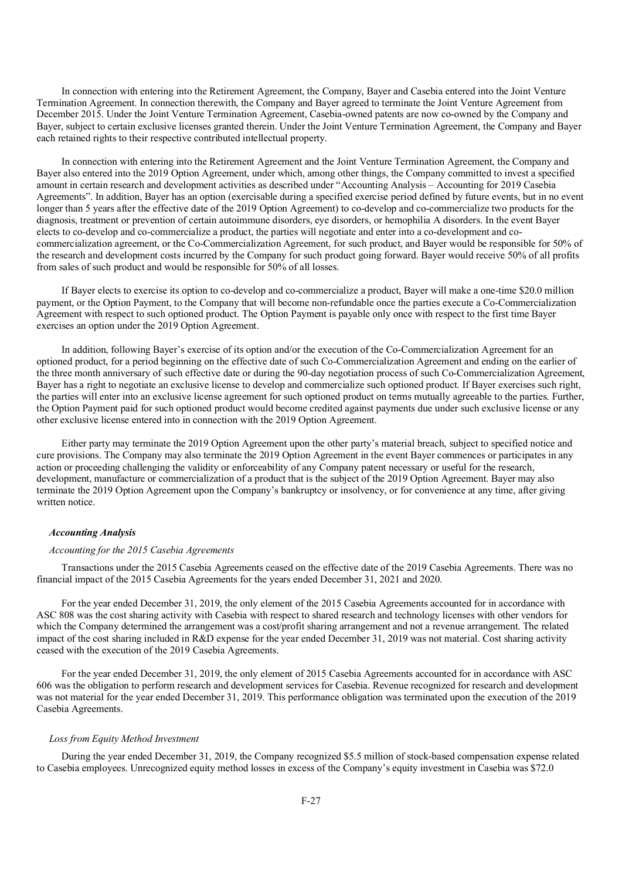In connection with entering into the Retirement Agreement, the Company, Bayer and Casebia entered into the Joint Venture Termination Agreement. In connection therewith, the Company and Bayer agreed to terminate the Joint Venture Agreement from December 2015. Under the Joint Venture Termination Agreement, Casebia-owned patents are now co-owned by the Company and Bayer, subject to certain exclusive licenses granted therein. Under the Joint Venture Termination Agreement, the Company and Bayer each retained rights to their respective contributed intellectual property.

In connection with entering into the Retirement Agreement and the Joint Venture Termination Agreement, the Company and Bayer also entered into the 2019 Option Agreement, under which, among other things, the Company committed to invest a specified amount in certain research and development activities as described under "Accounting Analysis – Accounting for 2019 Casebia Agreements". In addition, Bayer has an option (exercisable during a specified exercise period defined by future events, but in no event longer than 5 years after the effective date of the 2019 Option Agreement) to co-develop and co-commercialize two products for the diagnosis, treatment or prevention of certain autoimmune disorders, eye disorders, or hemophilia A disorders. In the event Bayer elects to co-develop and co-commercialize a product, the parties will negotiate and enter into a co-development and cocommercialization agreement, or the Co-Commercialization Agreement, for such product, and Bayer would be responsible for 50% of the research and development costs incurred by the Company for such product going forward. Bayer would receive 50% of all profits from sales of such product and would be responsible for 50% of all losses.

If Bayer elects to exercise its option to co-develop and co-commercialize a product, Bayer will make a one-time \$20.0 million payment, or the Option Payment, to the Company that will become non-refundable once the parties execute a Co-Commercialization Agreement with respect to such optioned product. The Option Payment is payable only once with respect to the first time Bayer exercises an option under the 2019 Option Agreement.

In addition, following Bayer's exercise of its option and/or the execution of the Co-Commercialization Agreement for an optioned product, for a period beginning on the effective date of such Co-Commercialization Agreement and ending on the earlier of the three month anniversary of such effective date or during the 90-day negotiation process of such Co-Commercialization Agreement, Bayer has a right to negotiate an exclusive license to develop and commercialize such optioned product. If Bayer exercises such right, the parties will enter into an exclusive license agreement for such optioned product on terms mutually agreeable to the parties. Further, the Option Payment paid for such optioned product would become credited against payments due under such exclusive license or any other exclusive license entered into in connection with the 2019 Option Agreement.

Either party may terminate the 2019 Option Agreement upon the other party's material breach, subject to specified notice and cure provisions. The Company may also terminate the 2019 Option Agreement in the event Bayer commences or participates in any action or proceeding challenging the validity or enforceability of any Company patent necessary or useful for the research, development, manufacture or commercialization of a product that is the subject of the 2019 Option Agreement. Bayer may also terminate the 2019 Option Agreement upon the Company's bankruptcy or insolvency, or for convenience at any time, after giving written notice.

## *Accounting Analysis*

## *Accounting for the 2015 Casebia Agreements*

Transactions under the 2015 Casebia Agreements ceased on the effective date of the 2019 Casebia Agreements. There was no financial impact of the 2015 Casebia Agreements for the years ended December 31, 2021 and 2020.

For the year ended December 31, 2019, the only element of the 2015 Casebia Agreements accounted for in accordance with ASC 808 was the cost sharing activity with Casebia with respect to shared research and technology licenses with other vendors for which the Company determined the arrangement was a cost/profit sharing arrangement and not a revenue arrangement. The related impact of the cost sharing included in R&D expense for the year ended December 31, 2019 was not material. Cost sharing activity ceased with the execution of the 2019 Casebia Agreements.

For the year ended December 31, 2019, the only element of 2015 Casebia Agreements accounted for in accordance with ASC 606 was the obligation to perform research and development services for Casebia. Revenue recognized for research and development was not material for the year ended December 31, 2019. This performance obligation was terminated upon the execution of the 2019 Casebia Agreements.

## *Loss from Equity Method Investment*

During the year ended December 31, 2019, the Company recognized \$5.5 million of stock-based compensation expense related to Casebia employees. Unrecognized equity method losses in excess of the Company's equity investment in Casebia was \$72.0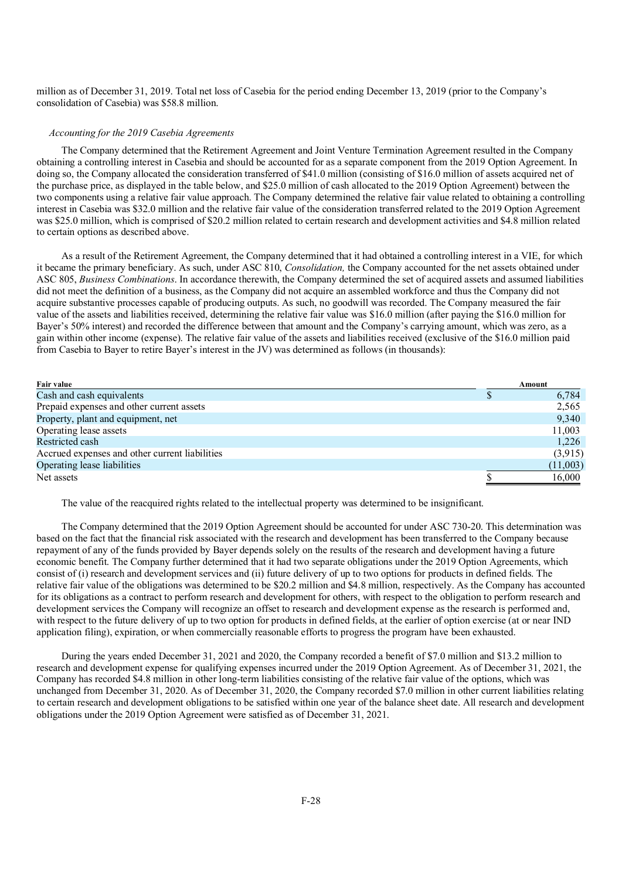million as of December 31, 2019. Total net loss of Casebia for the period ending December 13, 2019 (prior to the Company's consolidation of Casebia) was \$58.8 million.

## *Accounting for the 2019 Casebia Agreements*

The Company determined that the Retirement Agreement and Joint Venture Termination Agreement resulted in the Company obtaining a controlling interest in Casebia and should be accounted for as a separate component from the 2019 Option Agreement. In doing so, the Company allocated the consideration transferred of \$41.0 million (consisting of \$16.0 million of assets acquired net of the purchase price, as displayed in the table below, and \$25.0 million of cash allocated to the 2019 Option Agreement) between the two components using a relative fair value approach. The Company determined the relative fair value related to obtaining a controlling interest in Casebia was \$32.0 million and the relative fair value of the consideration transferred related to the 2019 Option Agreement was \$25.0 million, which is comprised of \$20.2 million related to certain research and development activities and \$4.8 million related to certain options as described above.

As a result of the Retirement Agreement, the Company determined that it had obtained a controlling interest in a VIE, for which it became the primary beneficiary. As such, under ASC 810, *Consolidation,* the Company accounted for the net assets obtained under ASC 805, *Business Combinations*. In accordance therewith, the Company determined the set of acquired assets and assumed liabilities did not meet the definition of a business, as the Company did not acquire an assembled workforce and thus the Company did not acquire substantive processes capable of producing outputs. As such, no goodwill was recorded. The Company measured the fair value of the assets and liabilities received, determining the relative fair value was \$16.0 million (after paying the \$16.0 million for Bayer's 50% interest) and recorded the difference between that amount and the Company's carrying amount, which was zero, as a gain within other income (expense). The relative fair value of the assets and liabilities received (exclusive of the \$16.0 million paid from Casebia to Bayer to retire Bayer's interest in the JV) was determined as follows (in thousands):

| Fair value                                     | Amount   |
|------------------------------------------------|----------|
| Cash and cash equivalents                      | 6,784    |
| Prepaid expenses and other current assets      | 2,565    |
| Property, plant and equipment, net             | 9.340    |
| Operating lease assets                         | 11,003   |
| Restricted cash                                | 1,226    |
| Accrued expenses and other current liabilities | (3,915)  |
| Operating lease liabilities                    | (11,003) |
| Net assets                                     | 16,000   |

The value of the reacquired rights related to the intellectual property was determined to be insignificant.

The Company determined that the 2019 Option Agreement should be accounted for under ASC 730-20. This determination was based on the fact that the financial risk associated with the research and development has been transferred to the Company because repayment of any of the funds provided by Bayer depends solely on the results of the research and development having a future economic benefit. The Company further determined that it had two separate obligations under the 2019 Option Agreements, which consist of (i) research and development services and (ii) future delivery of up to two options for products in defined fields. The relative fair value of the obligations was determined to be \$20.2 million and \$4.8 million, respectively. As the Company has accounted for its obligations as a contract to perform research and development for others, with respect to the obligation to perform research and development services the Company will recognize an offset to research and development expense as the research is performed and, with respect to the future delivery of up to two option for products in defined fields, at the earlier of option exercise (at or near IND application filing), expiration, or when commercially reasonable efforts to progress the program have been exhausted.

During the years ended December 31, 2021 and 2020, the Company recorded a benefit of \$7.0 million and \$13.2 million to research and development expense for qualifying expenses incurred under the 2019 Option Agreement. As of December 31, 2021, the Company has recorded \$4.8 million in other long-term liabilities consisting of the relative fair value of the options, which was unchanged from December 31, 2020. As of December 31, 2020, the Company recorded \$7.0 million in other current liabilities relating to certain research and development obligations to be satisfied within one year of the balance sheet date. All research and development obligations under the 2019 Option Agreement were satisfied as of December 31, 2021.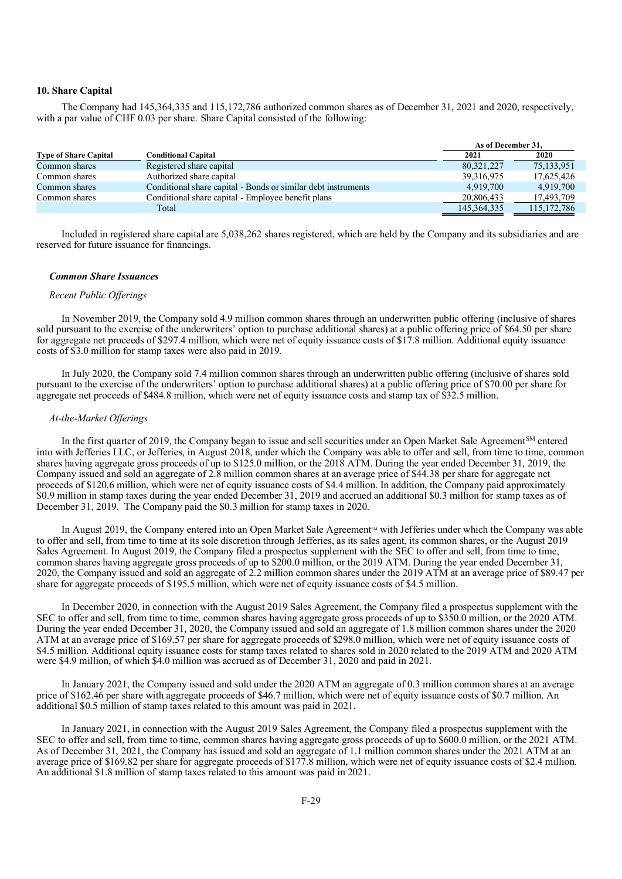## **10. Share Capital**

The Company had 145,364,335 and 115,172,786 authorized common shares as of December 31, 2021 and 2020, respectively, with a par value of CHF 0.03 per share. Share Capital consisted of the following:

|                              |                                                               | As of December 31. |               |
|------------------------------|---------------------------------------------------------------|--------------------|---------------|
| <b>Type of Share Capital</b> | Conditional Capital                                           | 2021               | 2020          |
| Common shares                | Registered share capital                                      | 80,321,227         | 75,133,951    |
| Common shares                | Authorized share capital                                      | 39, 316, 975       | 17,625,426    |
| Common shares                | Conditional share capital - Bonds or similar debt instruments | 4.919.700          | 4.919.700     |
| Common shares                | Conditional share capital - Employee benefit plans            | 20,806,433         | 17,493,709    |
|                              | Total                                                         | 145, 364, 335      | 115, 172, 786 |

Included in registered share capital are 5,038,262 shares registered, which are held by the Company and its subsidiaries and are reserved for future issuance for financings.

#### *Common Share Issuances*

#### *Recent Public Offerings*

In November 2019, the Company sold 4.9 million common shares through an underwritten public offering (inclusive of shares sold pursuant to the exercise of the underwriters' option to purchase additional shares) at a public offering price of \$64.50 per share for aggregate net proceeds of \$297.4 million, which were net of equity issuance costs of \$17.8 million. Additional equity issuance costs of \$3.0 million for stamp taxes were also paid in 2019.

In July 2020, the Company sold 7.4 million common shares through an underwritten public offering (inclusive of shares sold pursuant to the exercise of the underwriters' option to purchase additional shares) at a public offering price of \$70.00 per share for aggregate net proceeds of \$484.8 million, which were net of equity issuance costs and stamp tax of \$32.5 million.

## *At-the-Market Offerings*

In the first quarter of 2019, the Company began to issue and sell securities under an Open Market Sale Agreement<sup>SM</sup> entered into with Jefferies LLC, or Jefferies, in August 2018, under which the Company was able to offer and sell, from time to time, common shares having aggregate gross proceeds of up to \$125.0 million, or the 2018 ATM. During the year ended December 31, 2019, the Company issued and sold an aggregate of 2.8 million common shares at an average price of \$44.38 per share for aggregate net proceeds of \$120.6 million, which were net of equity issuance costs of \$4.4 million. In addition, the Company paid approximately \$0.9 million in stamp taxes during the year ended December 31, 2019 and accrued an additional \$0.3 million for stamp taxes as of December 31, 2019. The Company paid the \$0.3 million for stamp taxes in 2020.

In August 2019, the Company entered into an Open Market Sale Agreement<sup>sM</sup> with Jefferies under which the Company was able to offer and sell, from time to time at its sole discretion through Jefferies, as its sales agent, its common shares, or the August 2019 Sales Agreement. In August 2019, the Company filed a prospectus supplement with the SEC to offer and sell, from time to time, common shares having aggregate gross proceeds of up to \$200.0 million, or the 2019 ATM. During the year ended December 31, 2020, the Company issued and sold an aggregate of 2.2 million common shares under the 2019 ATM at an average price of \$89.47 per share for aggregate proceeds of \$195.5 million, which were net of equity issuance costs of \$4.5 million.

In December 2020, in connection with the August 2019 Sales Agreement, the Company filed a prospectus supplement with the SEC to offer and sell, from time to time, common shares having aggregate gross proceeds of up to \$350.0 million, or the 2020 ATM. During the year ended December 31, 2020, the Company issued and sold an aggregate of 1.8 million common shares under the 2020 ATM at an average price of \$169.57 per share for aggregate proceeds of \$298.0 million, which were net of equity issuance costs of \$4.5 million. Additional equity issuance costs for stamp taxes related to shares sold in 2020 related to the 2019 ATM and 2020 ATM were \$4.9 million, of which \$4.0 million was accrued as of December 31, 2020 and paid in 2021.

In January 2021, the Company issued and sold under the 2020 ATM an aggregate of 0.3 million common shares at an average price of \$162.46 per share with aggregate proceeds of \$46.7 million, which were net of equity issuance costs of \$0.7 million. An additional \$0.5 million of stamp taxes related to this amount was paid in 2021.

In January 2021, in connection with the August 2019 Sales Agreement, the Company filed a prospectus supplement with the SEC to offer and sell, from time to time, common shares having aggregate gross proceeds of up to \$600.0 million, or the 2021 ATM. As of December 31, 2021, the Company has issued and sold an aggregate of 1.1 million common shares under the 2021 ATM at an average price of \$169.82 per share for aggregate proceeds of \$177.8 million, which were net of equity issuance costs of \$2.4 million. An additional \$1.8 million of stamp taxes related to this amount was paid in 2021.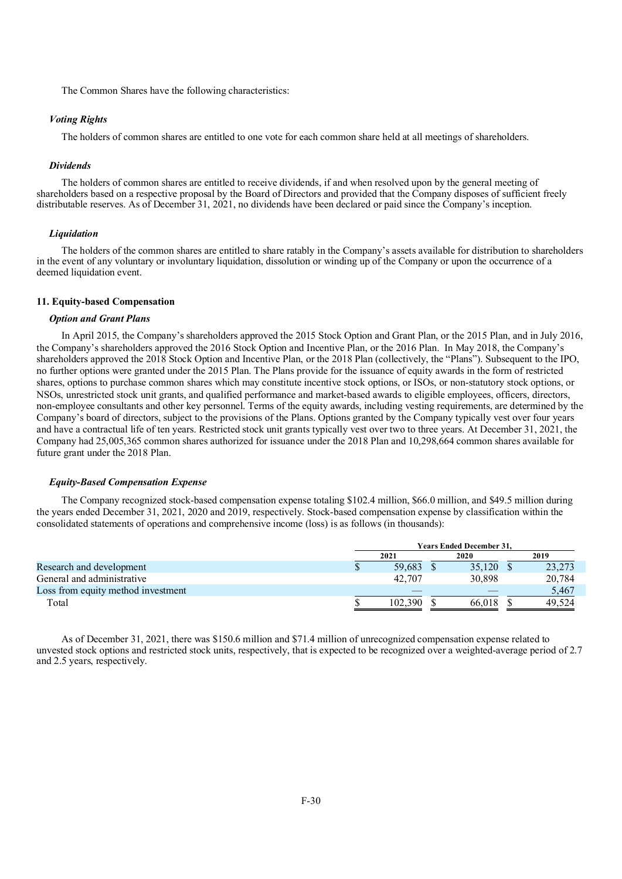The Common Shares have the following characteristics:

## *Voting Rights*

The holders of common shares are entitled to one vote for each common share held at all meetings of shareholders.

#### *Dividends*

The holders of common shares are entitled to receive dividends, if and when resolved upon by the general meeting of shareholders based on a respective proposal by the Board of Directors and provided that the Company disposes of sufficient freely distributable reserves. As of December 31, 2021, no dividends have been declared or paid since the Company's inception.

#### *Liquidation*

The holders of the common shares are entitled to share ratably in the Company's assets available for distribution to shareholders in the event of any voluntary or involuntary liquidation, dissolution or winding up of the Company or upon the occurrence of a deemed liquidation event.

## **11. Equity-based Compensation**

#### *Option and Grant Plans*

In April 2015, the Company's shareholders approved the 2015 Stock Option and Grant Plan, or the 2015 Plan, and in July 2016, the Company's shareholders approved the 2016 Stock Option and Incentive Plan, or the 2016 Plan. In May 2018, the Company's shareholders approved the 2018 Stock Option and Incentive Plan, or the 2018 Plan (collectively, the "Plans"). Subsequent to the IPO, no further options were granted under the 2015 Plan. The Plans provide for the issuance of equity awards in the form of restricted shares, options to purchase common shares which may constitute incentive stock options, or ISOs, or non-statutory stock options, or NSOs, unrestricted stock unit grants, and qualified performance and market-based awards to eligible employees, officers, directors, non-employee consultants and other key personnel. Terms of the equity awards, including vesting requirements, are determined by the Company's board of directors, subject to the provisions of the Plans. Options granted by the Company typically vest over four years and have a contractual life of ten years. Restricted stock unit grants typically vest over two to three years. At December 31, 2021, the Company had 25,005,365 common shares authorized for issuance under the 2018 Plan and 10,298,664 common shares available for future grant under the 2018 Plan.

#### *Equity-Based Compensation Expense*

The Company recognized stock-based compensation expense totaling \$102.4 million, \$66.0 million, and \$49.5 million during the years ended December 31, 2021, 2020 and 2019, respectively. Stock-based compensation expense by classification within the consolidated statements of operations and comprehensive income (loss) is as follows (in thousands):

|                                    | <b>Years Ended December 31.</b> |  |        |  |        |  |
|------------------------------------|---------------------------------|--|--------|--|--------|--|
|                                    | 2021                            |  | 2020   |  | 2019   |  |
| Research and development           | 59.683                          |  | 35,120 |  | 23,273 |  |
| General and administrative         | 42,707                          |  | 30.898 |  | 20,784 |  |
| Loss from equity method investment |                                 |  |        |  | 5,467  |  |
| Total                              | 102.390                         |  | 66.018 |  | 49.524 |  |

As of December 31, 2021, there was \$150.6 million and \$71.4 million of unrecognized compensation expense related to unvested stock options and restricted stock units, respectively, that is expected to be recognized over a weighted-average period of 2.7 and 2.5 years, respectively.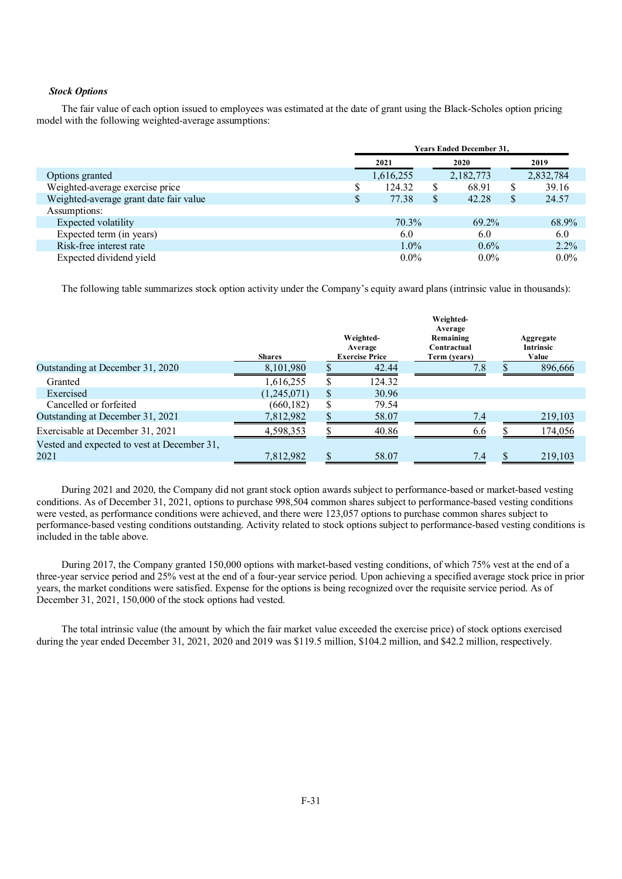## *Stock Options*

The fair value of each option issued to employees was estimated at the date of grant using the Black-Scholes option pricing model with the following weighted-average assumptions:

|                                        | <b>Years Ended December 31,</b> |           |    |           |   |           |
|----------------------------------------|---------------------------------|-----------|----|-----------|---|-----------|
|                                        |                                 | 2021      |    | 2020      |   | 2019      |
| Options granted                        |                                 | 1,616,255 |    | 2,182,773 |   | 2,832,784 |
| Weighted-average exercise price        |                                 | 124.32    | \$ | 68.91     | S | 39.16     |
| Weighted-average grant date fair value |                                 | 77.38     | \$ | 42.28     | S | 24.57     |
| Assumptions:                           |                                 |           |    |           |   |           |
| Expected volatility                    |                                 | 70.3%     |    | 69.2%     |   | 68.9%     |
| Expected term (in years)               |                                 | 6.0       |    | 6.0       |   | 6.0       |
| Risk-free interest rate                |                                 | $1.0\%$   |    | $0.6\%$   |   | $2.2\%$   |
| Expected dividend yield                |                                 | $0.0\%$   |    | $0.0\%$   |   | $0.0\%$   |

The following table summarizes stock option activity under the Company's equity award plans (intrinsic value in thousands):

|                                             | <b>Shares</b> | Weighted-<br>Average<br><b>Exercise Price</b> | Weighted-<br>Average<br>Remaining<br>Contractual<br>Term (years) | Aggregate<br><b>Intrinsic</b><br>Value |
|---------------------------------------------|---------------|-----------------------------------------------|------------------------------------------------------------------|----------------------------------------|
| Outstanding at December 31, 2020            | 8,101,980     | 42.44                                         | 7.8                                                              | 896,666                                |
| Granted                                     | 1,616,255     | 124.32                                        |                                                                  |                                        |
| Exercised                                   | (1,245,071)   | \$<br>30.96                                   |                                                                  |                                        |
| Cancelled or forfeited                      | (660, 182)    | \$<br>79.54                                   |                                                                  |                                        |
| Outstanding at December 31, 2021            | 7,812,982     | 58.07                                         | 7.4                                                              | 219,103                                |
| Exercisable at December 31, 2021            | 4,598,353     | 40.86                                         | 6.6                                                              | 174,056                                |
| Vested and expected to vest at December 31, |               |                                               |                                                                  |                                        |
| 2021                                        | 7,812,982     | 58.07                                         | 7.4                                                              | 219,103                                |

During 2021 and 2020, the Company did not grant stock option awards subject to performance-based or market-based vesting conditions. As of December 31, 2021, options to purchase 998,504 common shares subject to performance-based vesting conditions were vested, as performance conditions were achieved, and there were 123,057 options to purchase common shares subject to performance-based vesting conditions outstanding. Activity related to stock options subject to performance-based vesting conditions is included in the table above.

During 2017, the Company granted 150,000 options with market-based vesting conditions, of which 75% vest at the end of a three-year service period and 25% vest at the end of a four-year service period. Upon achieving a specified average stock price in prior years, the market conditions were satisfied. Expense for the options is being recognized over the requisite service period. As of December 31, 2021, 150,000 of the stock options had vested.

The total intrinsic value (the amount by which the fair market value exceeded the exercise price) of stock options exercised during the year ended December 31, 2021, 2020 and 2019 was \$119.5 million, \$104.2 million, and \$42.2 million, respectively.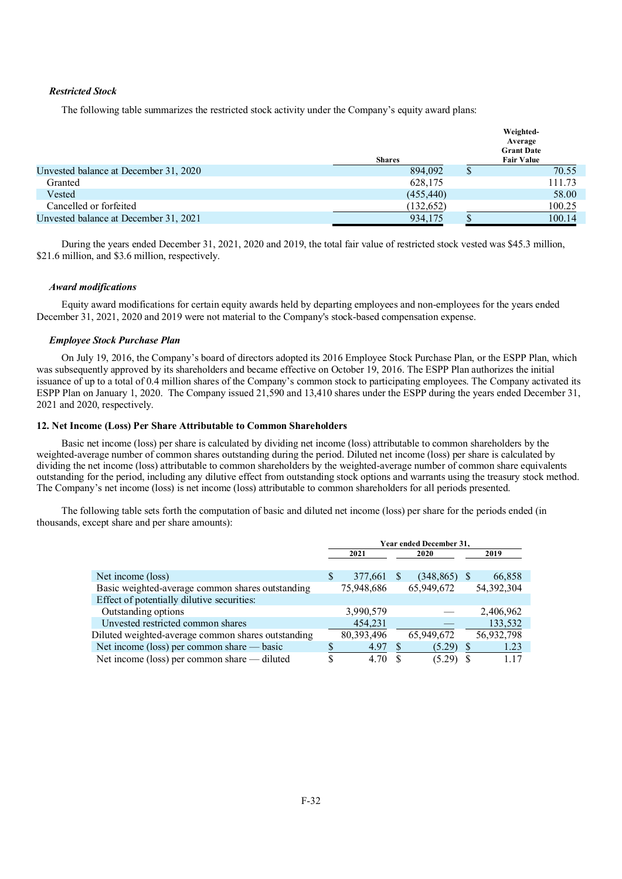## *Restricted Stock*

The following table summarizes the restricted stock activity under the Company's equity award plans:

|                                       | <b>Shares</b> |   | Weighted-<br>Average<br><b>Grant Date</b><br><b>Fair Value</b> |
|---------------------------------------|---------------|---|----------------------------------------------------------------|
| Unvested balance at December 31, 2020 | 894,092       | D | 70.55                                                          |
| Granted                               | 628,175       |   | 111.73                                                         |
| Vested                                | (455, 440)    |   | 58.00                                                          |
| Cancelled or forfeited                | (132, 652)    |   | 100.25                                                         |
| Unvested balance at December 31, 2021 | 934,175       |   | 100.14                                                         |

During the years ended December 31, 2021, 2020 and 2019, the total fair value of restricted stock vested was \$45.3 million, \$21.6 million, and \$3.6 million, respectively.

## *Award modifications*

Equity award modifications for certain equity awards held by departing employees and non-employees for the years ended December 31, 2021, 2020 and 2019 were not material to the Company's stock-based compensation expense.

#### *Employee Stock Purchase Plan*

On July 19, 2016, the Company's board of directors adopted its 2016 Employee Stock Purchase Plan, or the ESPP Plan, which was subsequently approved by its shareholders and became effective on October 19, 2016. The ESPP Plan authorizes the initial issuance of up to a total of 0.4 million shares of the Company's common stock to participating employees. The Company activated its ESPP Plan on January 1, 2020. The Company issued 21,590 and 13,410 shares under the ESPP during the years ended December 31, 2021 and 2020, respectively.

## **12. Net Income (Loss) Per Share Attributable to Common Shareholders**

Basic net income (loss) per share is calculated by dividing net income (loss) attributable to common shareholders by the weighted-average number of common shares outstanding during the period. Diluted net income (loss) per share is calculated by dividing the net income (loss) attributable to common shareholders by the weighted-average number of common share equivalents outstanding for the period, including any dilutive effect from outstanding stock options and warrants using the treasury stock method. The Company's net income (loss) is net income (loss) attributable to common shareholders for all periods presented.

The following table sets forth the computation of basic and diluted net income (loss) per share for the periods ended (in thousands, except share and per share amounts):

|                                                    | Year ended December 31, |            |      |                 |  |            |  |
|----------------------------------------------------|-------------------------|------------|------|-----------------|--|------------|--|
|                                                    | 2021                    |            | 2020 |                 |  | 2019       |  |
|                                                    |                         |            |      |                 |  |            |  |
| Net income (loss)                                  | S                       | 377,661    |      | $(348, 865)$ \$ |  | 66,858     |  |
| Basic weighted-average common shares outstanding   |                         | 75,948,686 |      | 65,949,672      |  | 54,392,304 |  |
| Effect of potentially dilutive securities:         |                         |            |      |                 |  |            |  |
| Outstanding options                                |                         | 3,990,579  |      |                 |  | 2,406,962  |  |
| Unvested restricted common shares                  |                         | 454,231    |      |                 |  | 133,532    |  |
| Diluted weighted-average common shares outstanding |                         | 80,393,496 |      | 65,949,672      |  | 56,932,798 |  |
| Net income (loss) per common share — basic         |                         | 4.97       |      | (5.29)          |  | 1.23       |  |
| Net income (loss) per common share — diluted       | S                       | 4.70       |      | (5.29)          |  | 1.17       |  |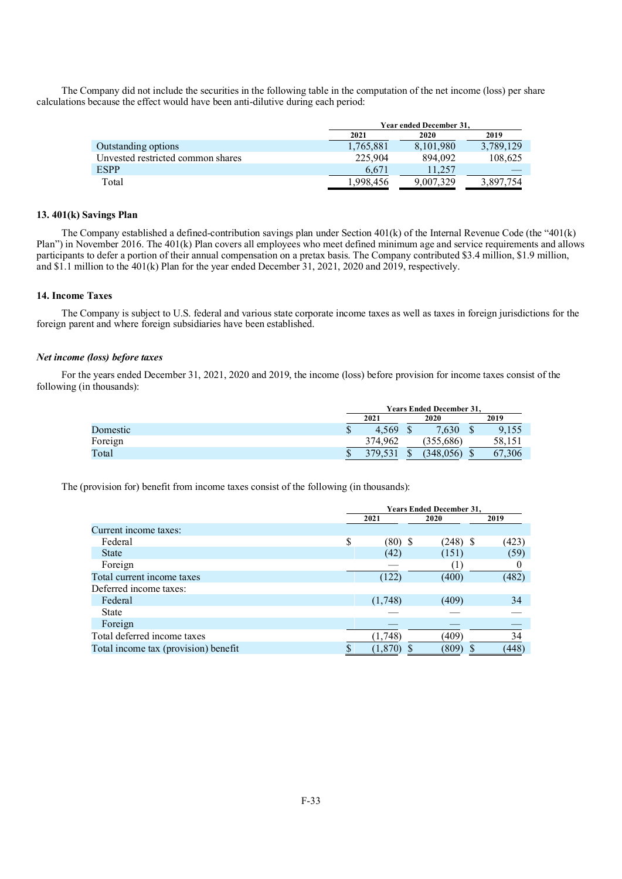The Company did not include the securities in the following table in the computation of the net income (loss) per share calculations because the effect would have been anti-dilutive during each period:

|                                   | Year ended December 31. |           |           |  |  |
|-----------------------------------|-------------------------|-----------|-----------|--|--|
|                                   | 2021                    | 2020      | 2019      |  |  |
| Outstanding options               | 1.765.881               | 8.101.980 | 3,789,129 |  |  |
| Unvested restricted common shares | 225,904                 | 894.092   | 108,625   |  |  |
| <b>ESPP</b>                       | 6.671                   | 11.257    |           |  |  |
| Total                             | 1,998,456               | 9.007.329 | 3,897,754 |  |  |

## **13. 401(k) Savings Plan**

The Company established a defined-contribution savings plan under Section 401(k) of the Internal Revenue Code (the "401(k) Plan") in November 2016. The 401(k) Plan covers all employees who meet defined minimum age and service requirements and allows participants to defer a portion of their annual compensation on a pretax basis. The Company contributed \$3.4 million, \$1.9 million, and \$1.1 million to the 401(k) Plan for the year ended December 31, 2021, 2020 and 2019, respectively.

## **14. Income Taxes**

The Company is subject to U.S. federal and various state corporate income taxes as well as taxes in foreign jurisdictions for the foreign parent and where foreign subsidiaries have been established.

## *Net income (loss) before taxes*

For the years ended December 31, 2021, 2020 and 2019, the income (loss) before provision for income taxes consist of the following (in thousands):

|          | <b>Years Ended December 31,</b> |  |           |  |        |  |
|----------|---------------------------------|--|-----------|--|--------|--|
|          | 2021                            |  | 2020      |  | 2019   |  |
| Domestic | \$<br>4.569                     |  | 7.630     |  | 9,155  |  |
| Foreign  | 374,962                         |  | (355,686) |  | 58,151 |  |
| Total    | 379,531                         |  | (348,056) |  | 67,306 |  |

The (provision for) benefit from income taxes consist of the following (in thousands):

|                                      |      | <b>Years Ended December 31,</b> |            |  |       |  |  |
|--------------------------------------|------|---------------------------------|------------|--|-------|--|--|
|                                      | 2021 |                                 | 2020       |  | 2019  |  |  |
| Current income taxes:                |      |                                 |            |  |       |  |  |
| Federal                              | \$   | $(80)$ \$                       | $(248)$ \$ |  | (423) |  |  |
| <b>State</b>                         |      | (42)                            | (151)      |  | (59)  |  |  |
| Foreign                              |      |                                 |            |  |       |  |  |
| Total current income taxes           |      | (122)                           | (400)      |  | (482) |  |  |
| Deferred income taxes:               |      |                                 |            |  |       |  |  |
| Federal                              |      | (1,748)                         | (409)      |  | 34    |  |  |
| <b>State</b>                         |      |                                 |            |  |       |  |  |
| Foreign                              |      |                                 |            |  |       |  |  |
| Total deferred income taxes          |      | (1,748)                         | (409)      |  | 34    |  |  |
| Total income tax (provision) benefit |      | (1, 870)                        | (809)      |  | (448) |  |  |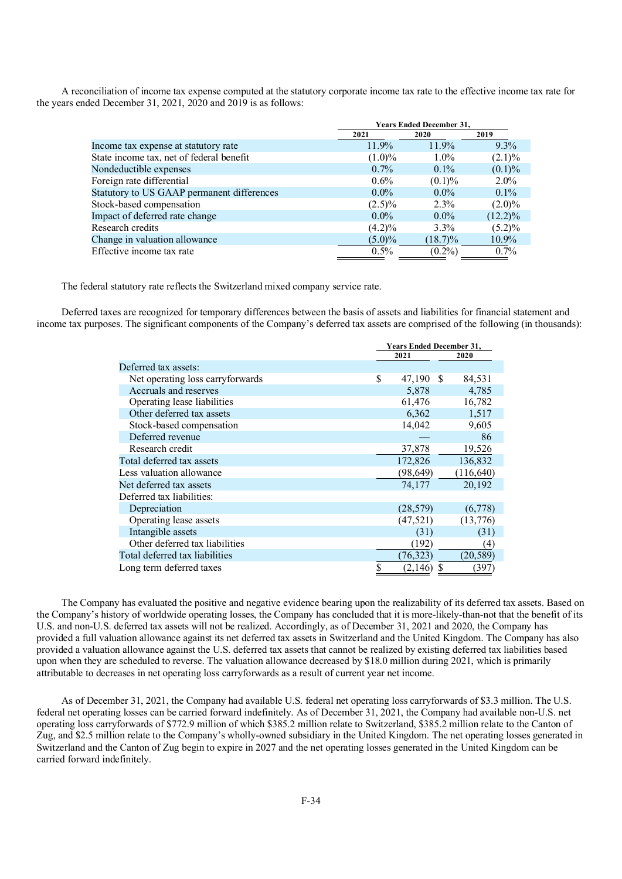A reconciliation of income tax expense computed at the statutory corporate income tax rate to the effective income tax rate for the years ended December 31, 2021, 2020 and 2019 is as follows:

|                                            | <b>Years Ended December 31,</b> |            |            |  |  |
|--------------------------------------------|---------------------------------|------------|------------|--|--|
|                                            | 2021                            | 2020       | 2019       |  |  |
| Income tax expense at statutory rate       | 11.9%                           | 11.9%      | $9.3\%$    |  |  |
| State income tax, net of federal benefit   | $(1.0)\%$                       | $1.0\%$    | $(2.1)\%$  |  |  |
| Nondeductible expenses                     | $0.7\%$                         | $0.1\%$    | $(0.1)\%$  |  |  |
| Foreign rate differential                  | $0.6\%$                         | $(0.1)\%$  | $2.0\%$    |  |  |
| Statutory to US GAAP permanent differences | $0.0\%$                         | $0.0\%$    | $0.1\%$    |  |  |
| Stock-based compensation                   | $(2.5)\%$                       | $2.3\%$    | $(2.0)\%$  |  |  |
| Impact of deferred rate change             | $0.0\%$                         | $0.0\%$    | $(12.2)\%$ |  |  |
| Research credits                           | $(4.2)\%$                       | $3.3\%$    | $(5.2)\%$  |  |  |
| Change in valuation allowance              | $(5.0)\%$                       | $(18.7)\%$ | 10.9%      |  |  |
| Effective income tax rate                  | 0.5%                            | $(0.2\%)$  | $0.7\%$    |  |  |

The federal statutory rate reflects the Switzerland mixed company service rate.

Deferred taxes are recognized for temporary differences between the basis of assets and liabilities for financial statement and income tax purposes. The significant components of the Company's deferred tax assets are comprised of the following (in thousands):

|                                  | <b>Years Ended December 31,</b> |   |            |  |
|----------------------------------|---------------------------------|---|------------|--|
|                                  | 2021                            |   | 2020       |  |
| Deferred tax assets:             |                                 |   |            |  |
| Net operating loss carryforwards | \$<br>47,190 \$                 |   | 84,531     |  |
| Accruals and reserves            | 5,878                           |   | 4,785      |  |
| Operating lease liabilities      | 61,476                          |   | 16,782     |  |
| Other deferred tax assets        | 6,362                           |   | 1,517      |  |
| Stock-based compensation         | 14,042                          |   | 9,605      |  |
| Deferred revenue                 |                                 |   | 86         |  |
| Research credit                  | 37,878                          |   | 19,526     |  |
| Total deferred tax assets        | 172,826                         |   | 136,832    |  |
| Less valuation allowance         | (98, 649)                       |   | (116, 640) |  |
| Net deferred tax assets          | 74,177                          |   | 20,192     |  |
| Deferred tax liabilities:        |                                 |   |            |  |
| Depreciation                     | (28, 579)                       |   | (6,778)    |  |
| Operating lease assets           | (47, 521)                       |   | (13,776)   |  |
| Intangible assets                | (31)                            |   | (31)       |  |
| Other deferred tax liabilities   | (192)                           |   | (4)        |  |
| Total deferred tax liabilities   | (76, 323)                       |   | (20,589)   |  |
| Long term deferred taxes         | (2,146)                         | S | (397)      |  |

The Company has evaluated the positive and negative evidence bearing upon the realizability of its deferred tax assets. Based on the Company's history of worldwide operating losses, the Company has concluded that it is more-likely-than-not that the benefit of its U.S. and non-U.S. deferred tax assets will not be realized. Accordingly, as of December 31, 2021 and 2020, the Company has provided a full valuation allowance against its net deferred tax assets in Switzerland and the United Kingdom. The Company has also provided a valuation allowance against the U.S. deferred tax assets that cannot be realized by existing deferred tax liabilities based upon when they are scheduled to reverse. The valuation allowance decreased by \$18.0 million during 2021, which is primarily attributable to decreases in net operating loss carryforwards as a result of current year net income.

As of December 31, 2021, the Company had available U.S. federal net operating loss carryforwards of \$3.3 million. The U.S. federal net operating losses can be carried forward indefinitely. As of December 31, 2021, the Company had available non-U.S. net operating loss carryforwards of \$772.9 million of which \$385.2 million relate to Switzerland, \$385.2 million relate to the Canton of Zug, and \$2.5 million relate to the Company's wholly-owned subsidiary in the United Kingdom. The net operating losses generated in Switzerland and the Canton of Zug begin to expire in 2027 and the net operating losses generated in the United Kingdom can be carried forward indefinitely.